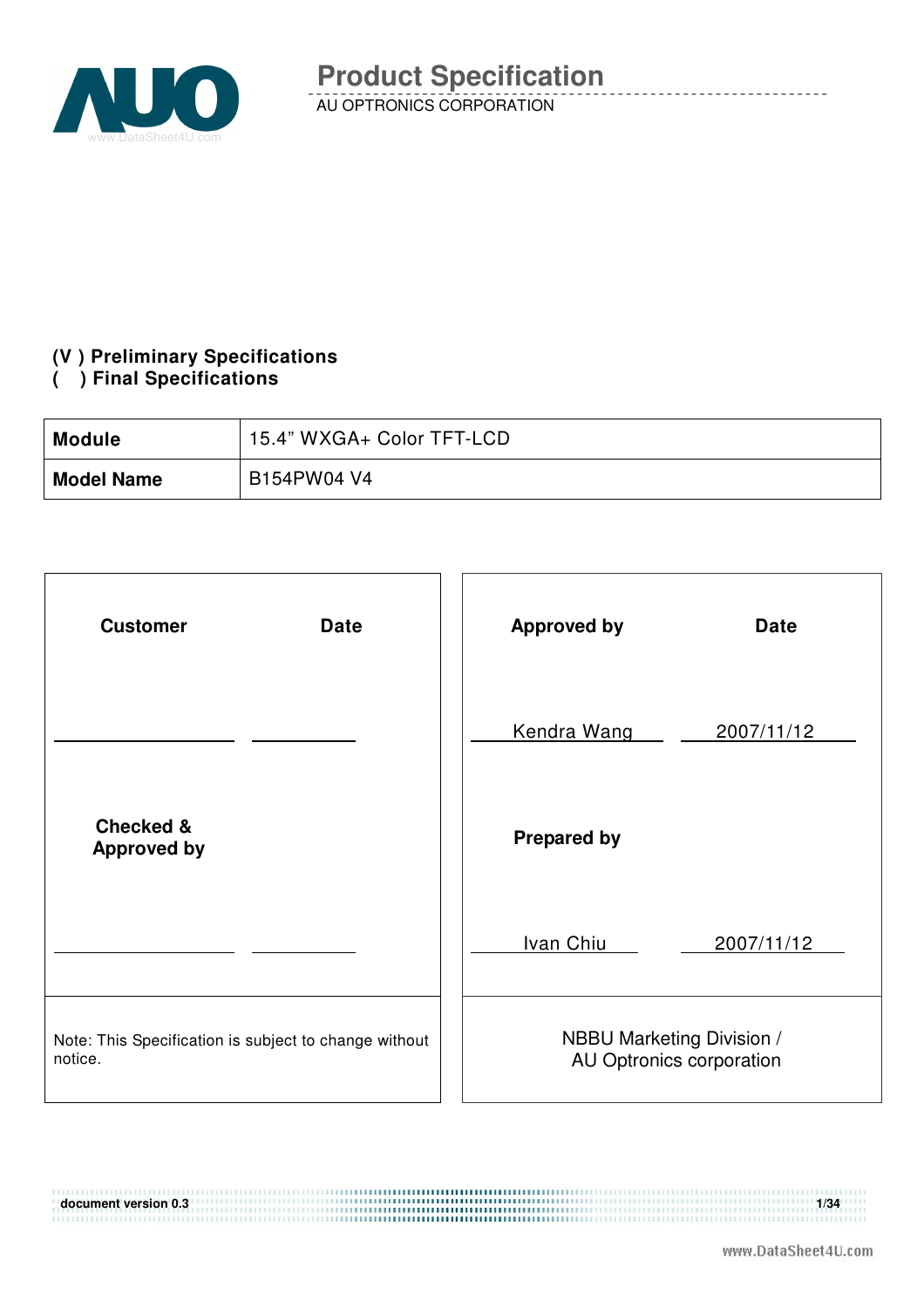

### **(V ) Preliminary Specifications**

#### **( ) Final Specifications**

| <b>Module</b>     | 15.4" WXGA+ Color TFT-LCD |
|-------------------|---------------------------|
| <b>Model Name</b> | B154PW04 V4               |

| <b>Customer</b><br><b>Date</b>                                   | <b>Approved by</b><br><b>Date</b>                     |
|------------------------------------------------------------------|-------------------------------------------------------|
|                                                                  | Kendra Wang<br>2007/11/12                             |
| <b>Checked &amp;</b><br><b>Approved by</b>                       | <b>Prepared by</b>                                    |
|                                                                  | Ivan Chiu<br>2007/11/12                               |
| Note: This Specification is subject to change without<br>notice. | NBBU Marketing Division /<br>AU Optronics corporation |

**document version 0.3** 1/34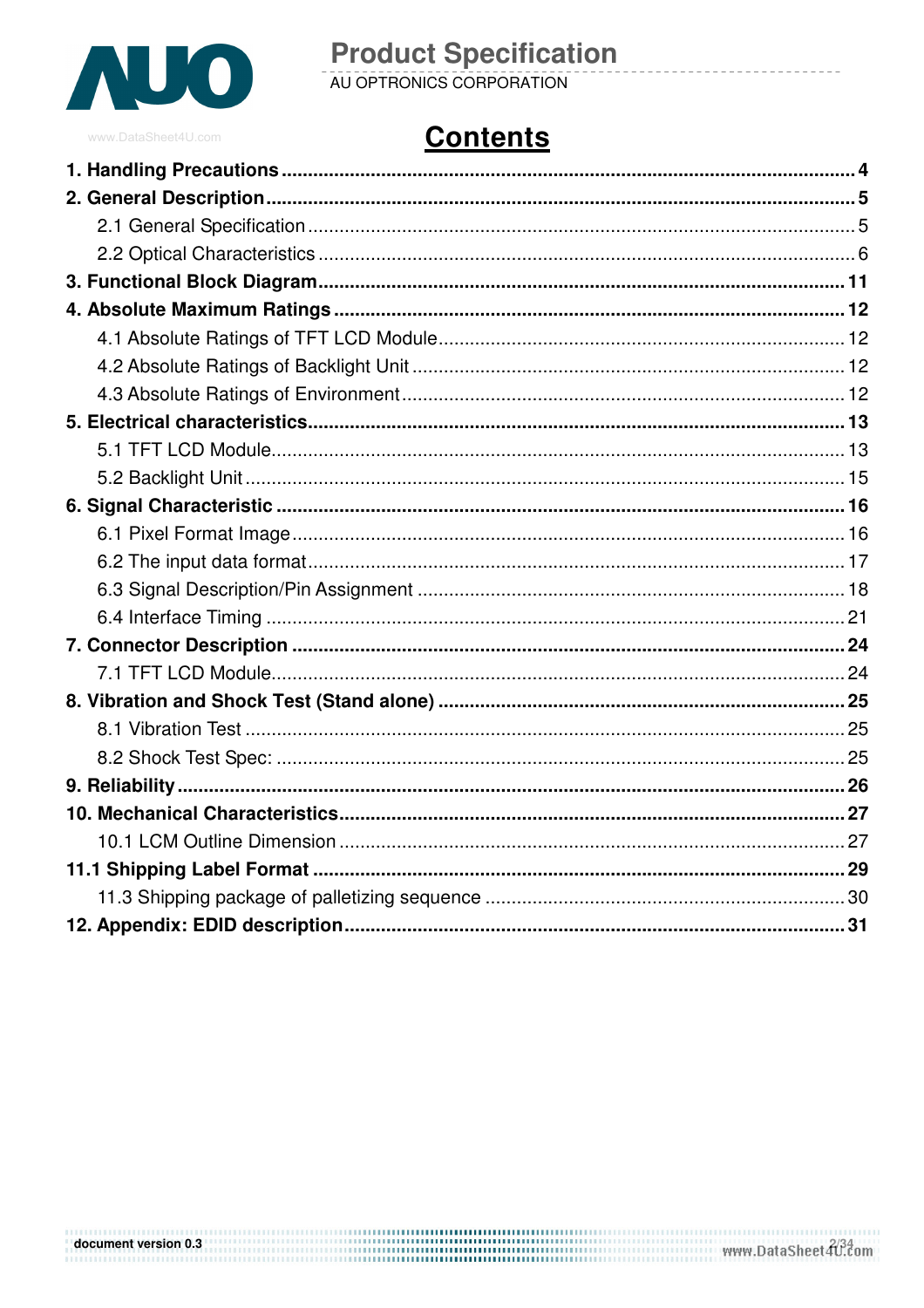

# **Product Specification**<br>AU OPTRONICS CORPORATION

# **Contents**

# document version 0.3<br>The www.DataSheet 40.com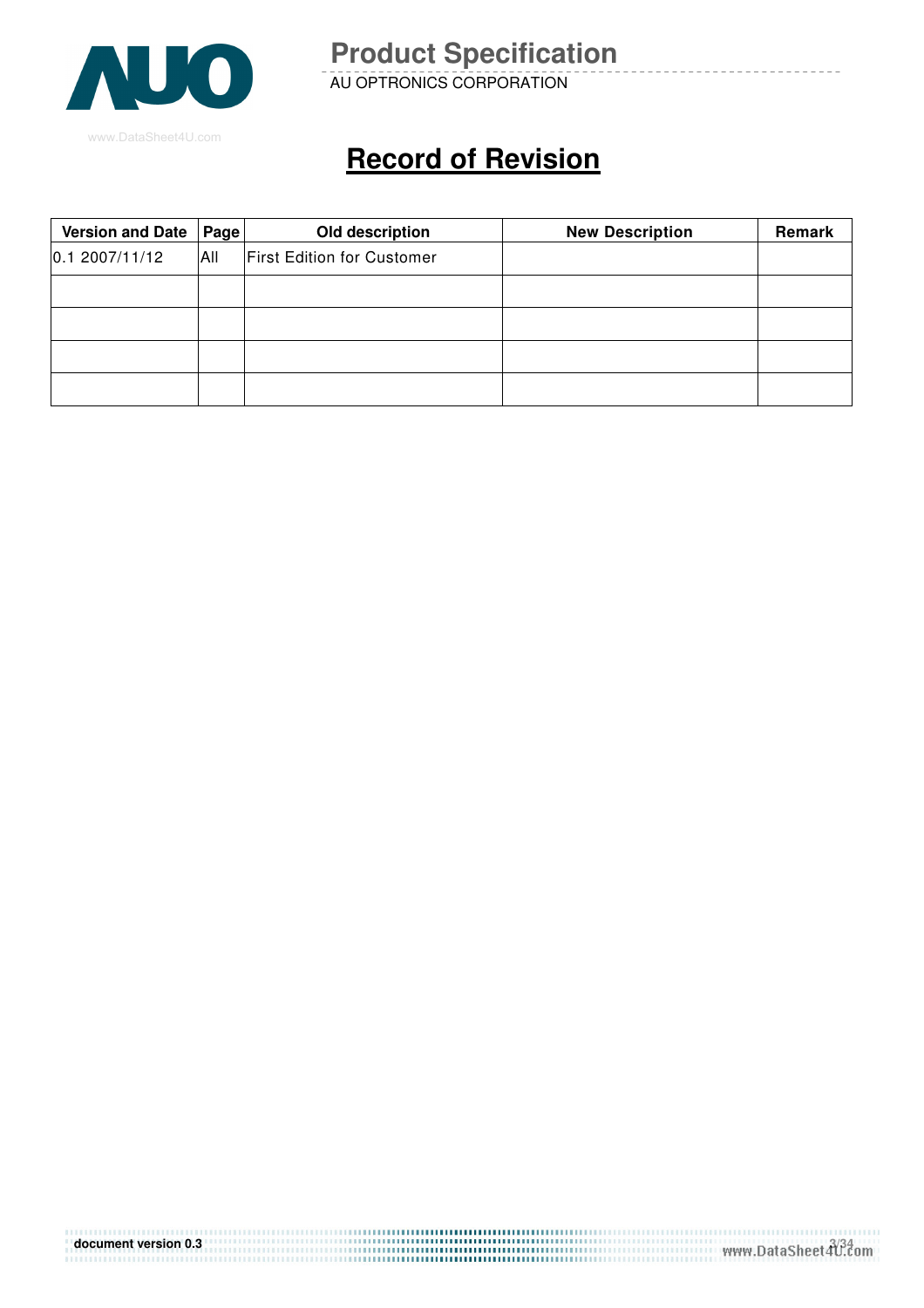

AU OPTRONICS CORPORATION

# **Record of Revision**

| <b>Version and Date</b> | Page | Old description                   | <b>New Description</b> | Remark |
|-------------------------|------|-----------------------------------|------------------------|--------|
| 0.12007/11/12           | All  | <b>First Edition for Customer</b> |                        |        |
|                         |      |                                   |                        |        |
|                         |      |                                   |                        |        |
|                         |      |                                   |                        |        |
|                         |      |                                   |                        |        |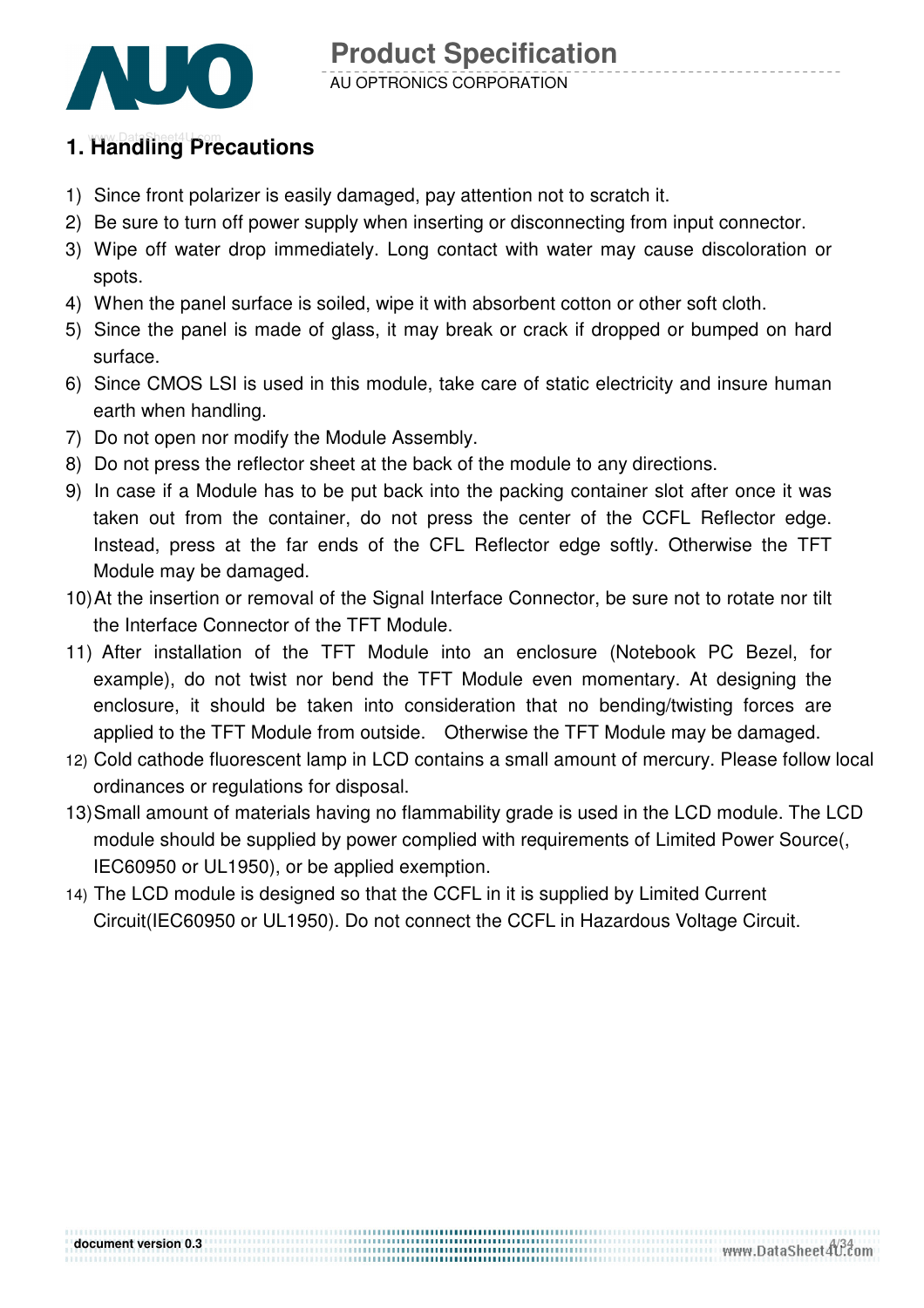

### **1. Handling Precautions**

- 1) Since front polarizer is easily damaged, pay attention not to scratch it.
- 2) Be sure to turn off power supply when inserting or disconnecting from input connector.
- 3) Wipe off water drop immediately. Long contact with water may cause discoloration or spots.
- 4) When the panel surface is soiled, wipe it with absorbent cotton or other soft cloth.
- 5) Since the panel is made of glass, it may break or crack if dropped or bumped on hard surface.
- 6) Since CMOS LSI is used in this module, take care of static electricity and insure human earth when handling.
- 7) Do not open nor modify the Module Assembly.
- 8) Do not press the reflector sheet at the back of the module to any directions.
- 9) In case if a Module has to be put back into the packing container slot after once it was taken out from the container, do not press the center of the CCFL Reflector edge. Instead, press at the far ends of the CFL Reflector edge softly. Otherwise the TFT Module may be damaged.
- 10) At the insertion or removal of the Signal Interface Connector, be sure not to rotate nor tilt the Interface Connector of the TFT Module.
- 11) After installation of the TFT Module into an enclosure (Notebook PC Bezel, for example), do not twist nor bend the TFT Module even momentary. At designing the enclosure, it should be taken into consideration that no bending/twisting forces are applied to the TFT Module from outside. Otherwise the TFT Module may be damaged.
- 12) Cold cathode fluorescent lamp in LCD contains a small amount of mercury. Please follow local ordinances or regulations for disposal.
- 13) Small amount of materials having no flammability grade is used in the LCD module. The LCD module should be supplied by power complied with requirements of Limited Power Source(, IEC60950 or UL1950), or be applied exemption.

,,,,,,,,,,,,,,,,,,,,,,,,,,,,,,,,, ....................................

14) The LCD module is designed so that the CCFL in it is supplied by Limited Current Circuit(IEC60950 or UL1950). Do not connect the CCFL in Hazardous Voltage Circuit.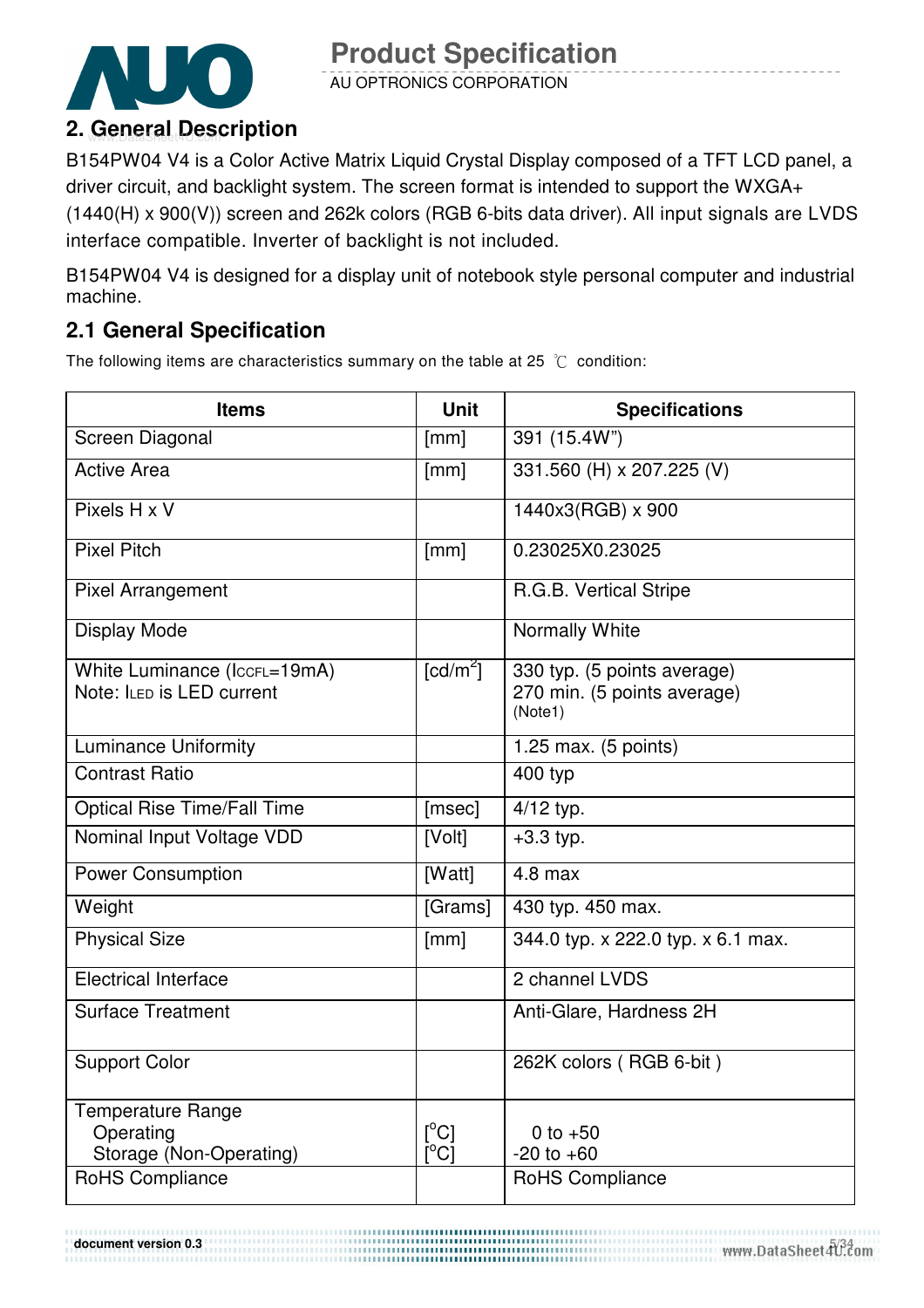

AU OPTRONICS CORPORATION

B154PW04 V4 is a Color Active Matrix Liquid Crystal Display composed of a TFT LCD panel, a driver circuit, and backlight system. The screen format is intended to support the WXGA+ (1440(H) x 900(V)) screen and 262k colors (RGB 6-bits data driver). All input signals are LVDS interface compatible. Inverter of backlight is not included.

B154PW04 V4 is designed for a display unit of notebook style personal computer and industrial machine.

### **2.1 General Specification**

The following items are characteristics summary on the table at 25  $\degree$ C condition:

| <b>Items</b>                                                     | <b>Unit</b>                      | <b>Specifications</b>                                                 |
|------------------------------------------------------------------|----------------------------------|-----------------------------------------------------------------------|
| Screen Diagonal                                                  | [mm]                             | 391 (15.4W")                                                          |
| <b>Active Area</b>                                               | [mm]                             | 331.560 (H) x 207.225 (V)                                             |
| Pixels H x V                                                     |                                  | 1440x3(RGB) x 900                                                     |
| <b>Pixel Pitch</b>                                               | [mm]                             | 0.23025X0.23025                                                       |
| <b>Pixel Arrangement</b>                                         |                                  | R.G.B. Vertical Stripe                                                |
| <b>Display Mode</b>                                              |                                  | Normally White                                                        |
| White Luminance (IccFL=19mA)<br>Note: ILED is LED current        | $\lceil cd/m^2 \rceil$           | 330 typ. (5 points average)<br>270 min. (5 points average)<br>(Note1) |
| <b>Luminance Uniformity</b>                                      |                                  | 1.25 max. (5 points)                                                  |
| <b>Contrast Ratio</b>                                            |                                  | 400 typ                                                               |
| <b>Optical Rise Time/Fall Time</b>                               | [msec]                           | 4/12 typ.                                                             |
| Nominal Input Voltage VDD                                        | [Volt]                           | $+3.3$ typ.                                                           |
| <b>Power Consumption</b>                                         | [Watt]                           | $4.8$ max                                                             |
| Weight                                                           | [Grams]                          | 430 typ. 450 max.                                                     |
| <b>Physical Size</b>                                             | [mm]                             | 344.0 typ. x 222.0 typ. x 6.1 max.                                    |
| <b>Electrical Interface</b>                                      |                                  | 2 channel LVDS                                                        |
| <b>Surface Treatment</b>                                         |                                  | Anti-Glare, Hardness 2H                                               |
| <b>Support Color</b>                                             |                                  | 262K colors (RGB 6-bit)                                               |
| <b>Temperature Range</b><br>Operating<br>Storage (Non-Operating) | $\lceil{^{\circ}C}\rceil$<br>ΰCĪ | 0 to $+50$<br>$-20$ to $+60$                                          |
| <b>RoHS Compliance</b>                                           |                                  | RoHS Compliance                                                       |

**document version 0.3 https://www.pater-adocument version 0.3 html**  $\frac{5/34}{2}$  **www.DataSheet4U.com**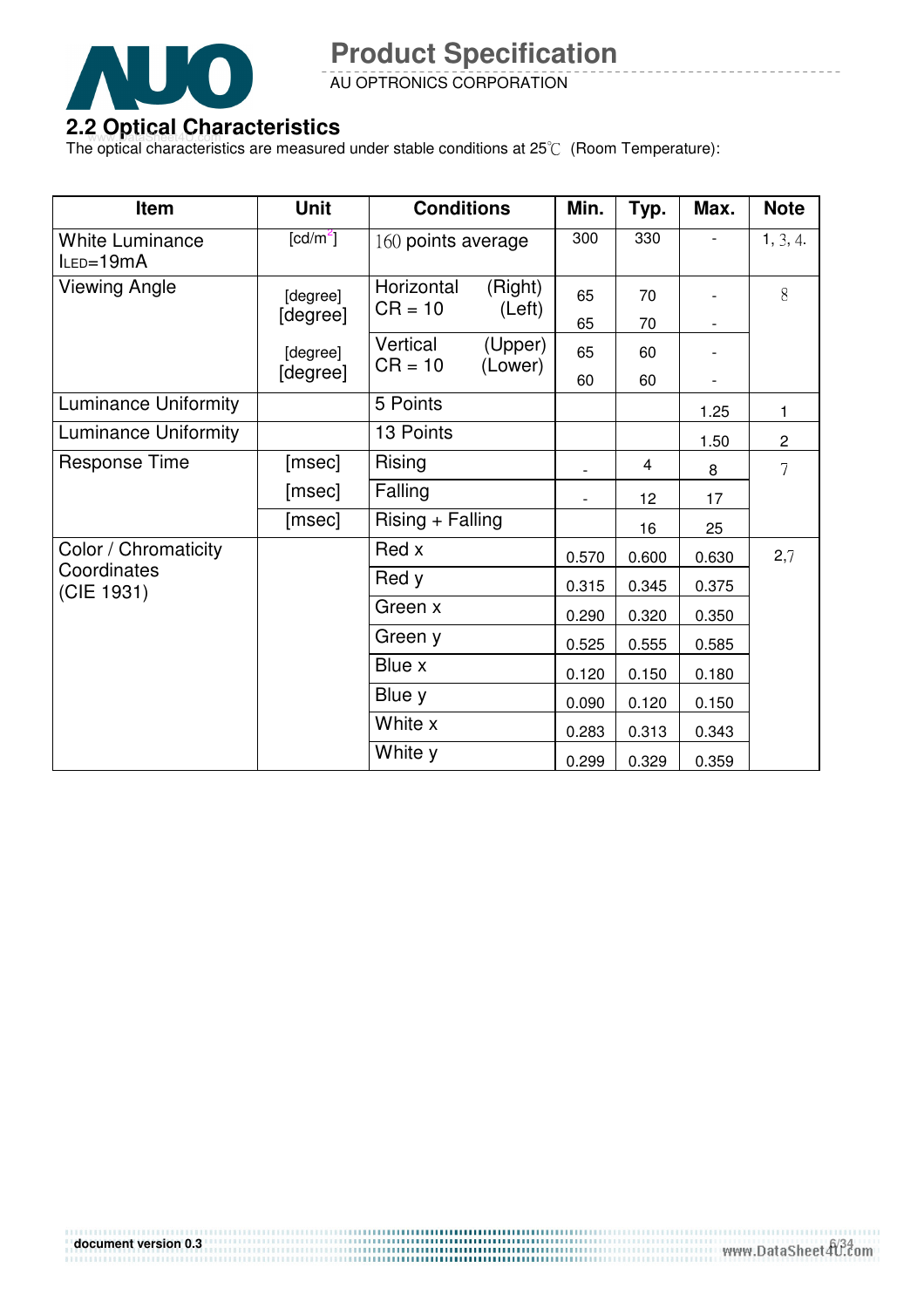

AU OPTRONICS CORPORATION

### **2.2 Optical Characteristics**

The optical characteristics are measured under stable conditions at 25°C (Room Temperature):

| Item                                | <b>Unit</b>          | <b>Conditions</b>       |                    | Min.  | Typ.  | Max.  | <b>Note</b>    |
|-------------------------------------|----------------------|-------------------------|--------------------|-------|-------|-------|----------------|
| <b>White Luminance</b><br>ILED=19mA | [cd/m <sup>2</sup> ] | 160 points average      |                    | 300   | 330   |       | 1, 3, 4.       |
| Viewing Angle                       | [degree]             | Horizontal<br>$CR = 10$ | (Right)<br>(Left)  | 65    | 70    |       | 8              |
|                                     | [degree]             |                         |                    | 65    | 70    |       |                |
|                                     | [degree]             | Vertical<br>$CR = 10$   | (Upper)<br>(Lower) | 65    | 60    |       |                |
|                                     | [degree]             |                         |                    | 60    | 60    |       |                |
| <b>Luminance Uniformity</b>         |                      | 5 Points                |                    |       |       | 1.25  | 1              |
| <b>Luminance Uniformity</b>         |                      | 13 Points               |                    |       |       | 1.50  | $\overline{c}$ |
| <b>Response Time</b>                | [msec]               | Rising                  |                    |       | 4     | 8     | $\overline{7}$ |
|                                     | [msec]               | Falling                 |                    |       | 12    | 17    |                |
|                                     | [msec]               | Rising + Falling        |                    |       | 16    | 25    |                |
| Color / Chromaticity                |                      | Red x                   |                    | 0.570 | 0.600 | 0.630 | 2,7            |
| Coordinates<br>(CIE 1931)           |                      | Red y                   |                    | 0.315 | 0.345 | 0.375 |                |
|                                     |                      | Green x                 |                    | 0.290 | 0.320 | 0.350 |                |
|                                     |                      | Green y                 |                    | 0.525 | 0.555 | 0.585 |                |
|                                     |                      | Blue x                  |                    | 0.120 | 0.150 | 0.180 |                |
|                                     |                      | Blue y                  |                    | 0.090 | 0.120 | 0.150 |                |
|                                     |                      | White x                 |                    | 0.283 | 0.313 | 0.343 |                |
|                                     |                      | White y                 |                    | 0.299 | 0.329 | 0.359 |                |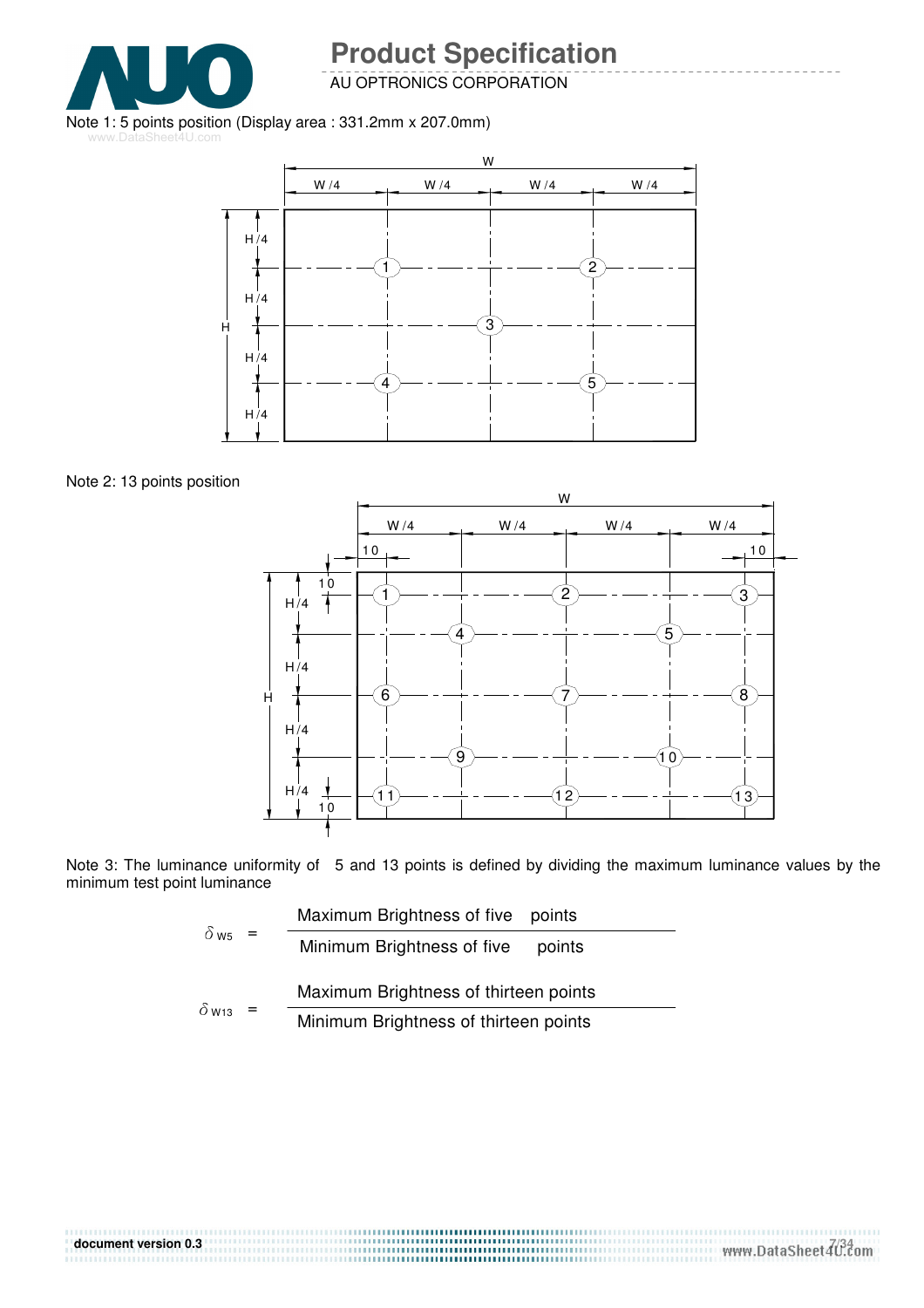

AU OPTRONICS CORPORATION

#### Note 1: 5 points position (Display area : 331.2mm x 207.0mm)

www.DataSheet4U.com



Note 2: 13 points position



Note 3: The luminance uniformity of 5 and 13 points is defined by dividing the maximum luminance values by the minimum test point luminance

|                          |  | Maximum Brightness of five points     |  |  |  |  |  |
|--------------------------|--|---------------------------------------|--|--|--|--|--|
| $\delta$ w <sub>5</sub>  |  | Minimum Brightness of five<br>points  |  |  |  |  |  |
|                          |  | Maximum Brightness of thirteen points |  |  |  |  |  |
| $\delta$ W <sub>13</sub> |  | Minimum Brightness of thirteen points |  |  |  |  |  |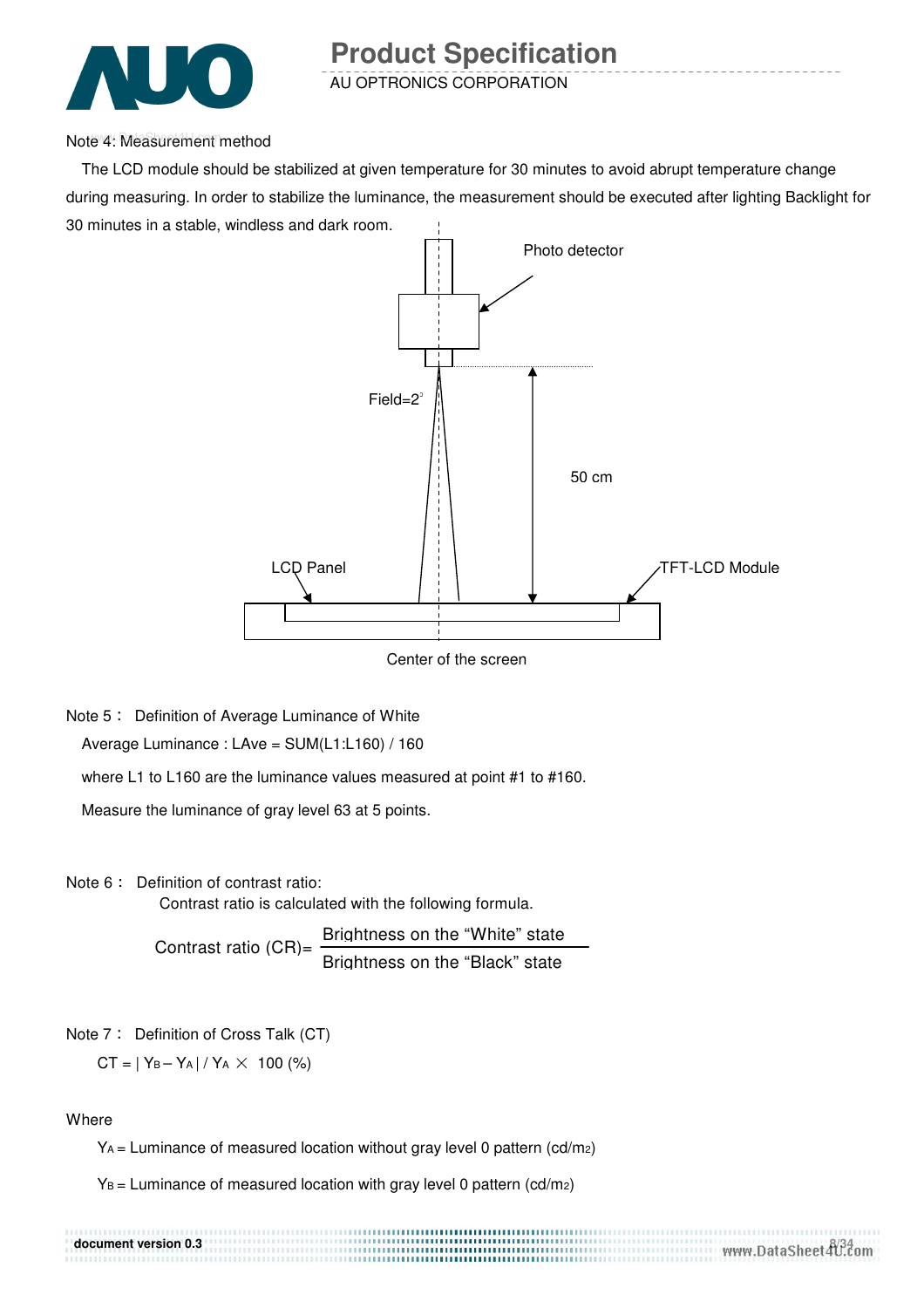

Note 4: Measurement method

The LCD module should be stabilized at given temperature for 30 minutes to avoid abrupt temperature change during measuring. In order to stabilize the luminance, the measurement should be executed after lighting Backlight for 30 minutes in a stable, windless and dark room.



Center of the screen

Note 5: Definition of Average Luminance of White Average Luminance : LAve = SUM(L1:L160) / 160

where L1 to L160 are the luminance values measured at point #1 to #160.

Measure the luminance of gray level 63 at 5 points.

Note 6: Definition of contrast ratio:

Contrast ratio is calculated with the following formula.

Contrast ratio  $(CR)$ = Brightness on the "White" state Brightness on the "Black" state

Note 7: Definition of Cross Talk (CT)

 $CT = |Y_B - Y_A| / Y_A \times 100$  (%)

**Where** 

 $Y_A$  = Luminance of measured location without gray level 0 pattern (cd/m2)

 $Y_B$  = Luminance of measured location with gray level 0 pattern (cd/m2)

### **document version 0.3 and 234 <b>a**  $\frac{8}{34}$  **document version 0.3 a**  $\frac{8}{34}$  **a**  $\frac{8}{34}$  **cm**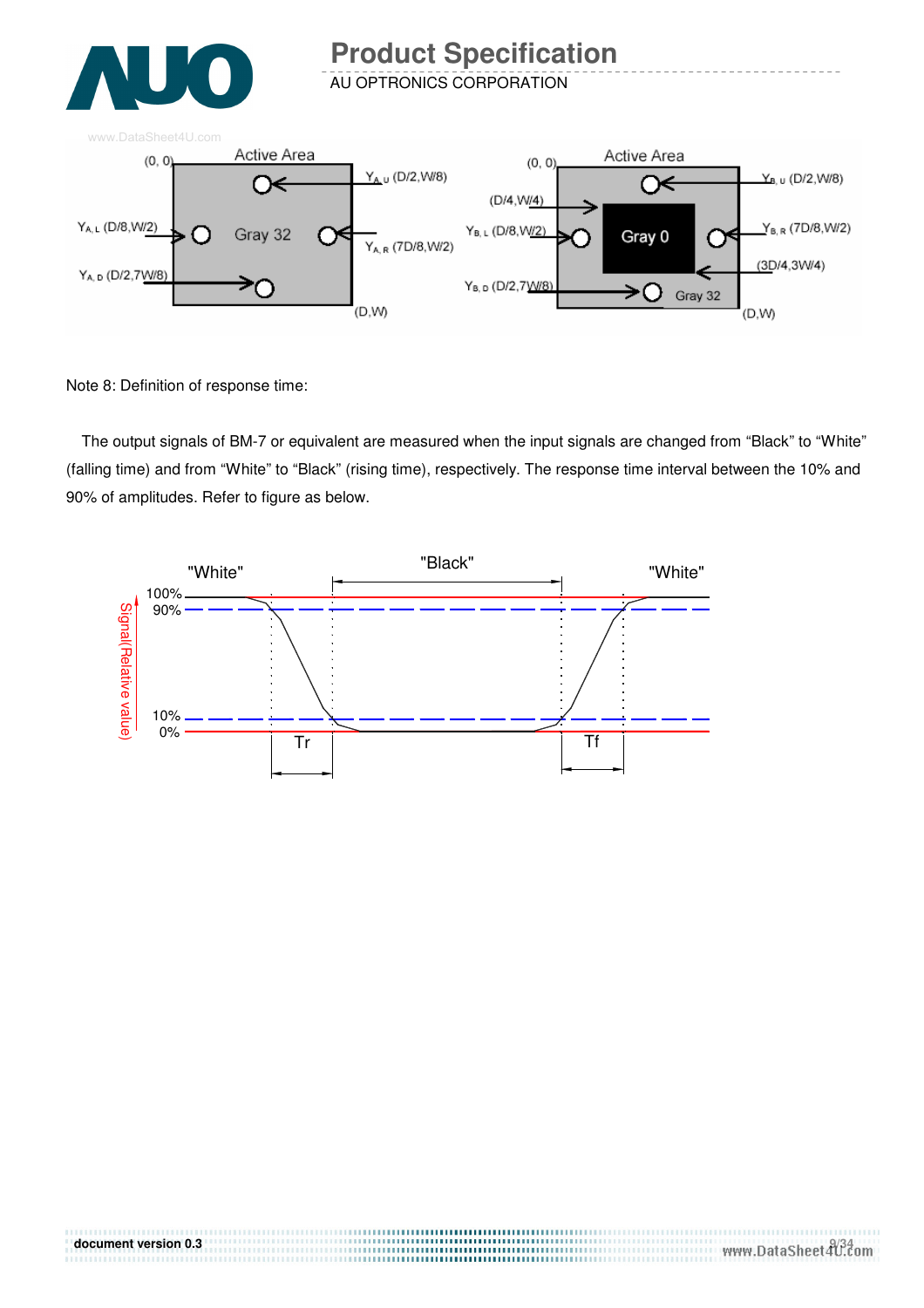

AU OPTRONICS CORPORATION



Note 8: Definition of response time:

The output signals of BM-7 or equivalent are measured when the input signals are changed from "Black" to "White" (falling time) and from "White" to "Black" (rising time), respectively. The response time interval between the 10% and 90% of amplitudes. Refer to figure as below.

> .....................................

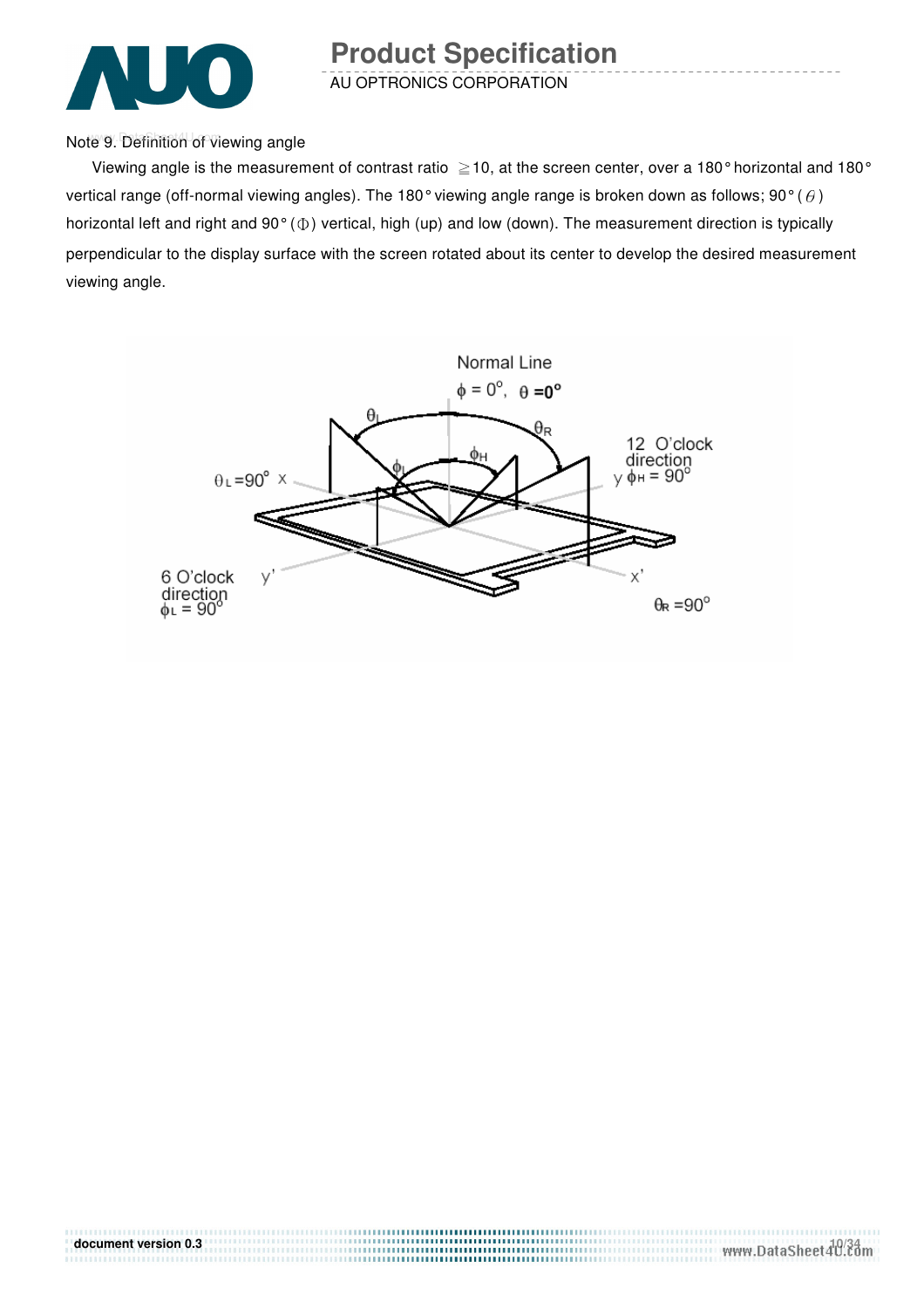

AU OPTRONICS CORPORATION **Product Specification** 

Note 9. Definition of viewing angle

Viewing angle is the measurement of contrast ratio  $\geq$  10, at the screen center, over a 180° horizontal and 180° vertical range (off-normal viewing angles). The 180° viewing angle range is broken down as follows; 90° ( $\theta$ ) horizontal left and right and  $90^{\circ}$  ( $\Phi$ ) vertical, high (up) and low (down). The measurement direction is typically perpendicular to the display surface with the screen rotated about its center to develop the desired measurement viewing angle.

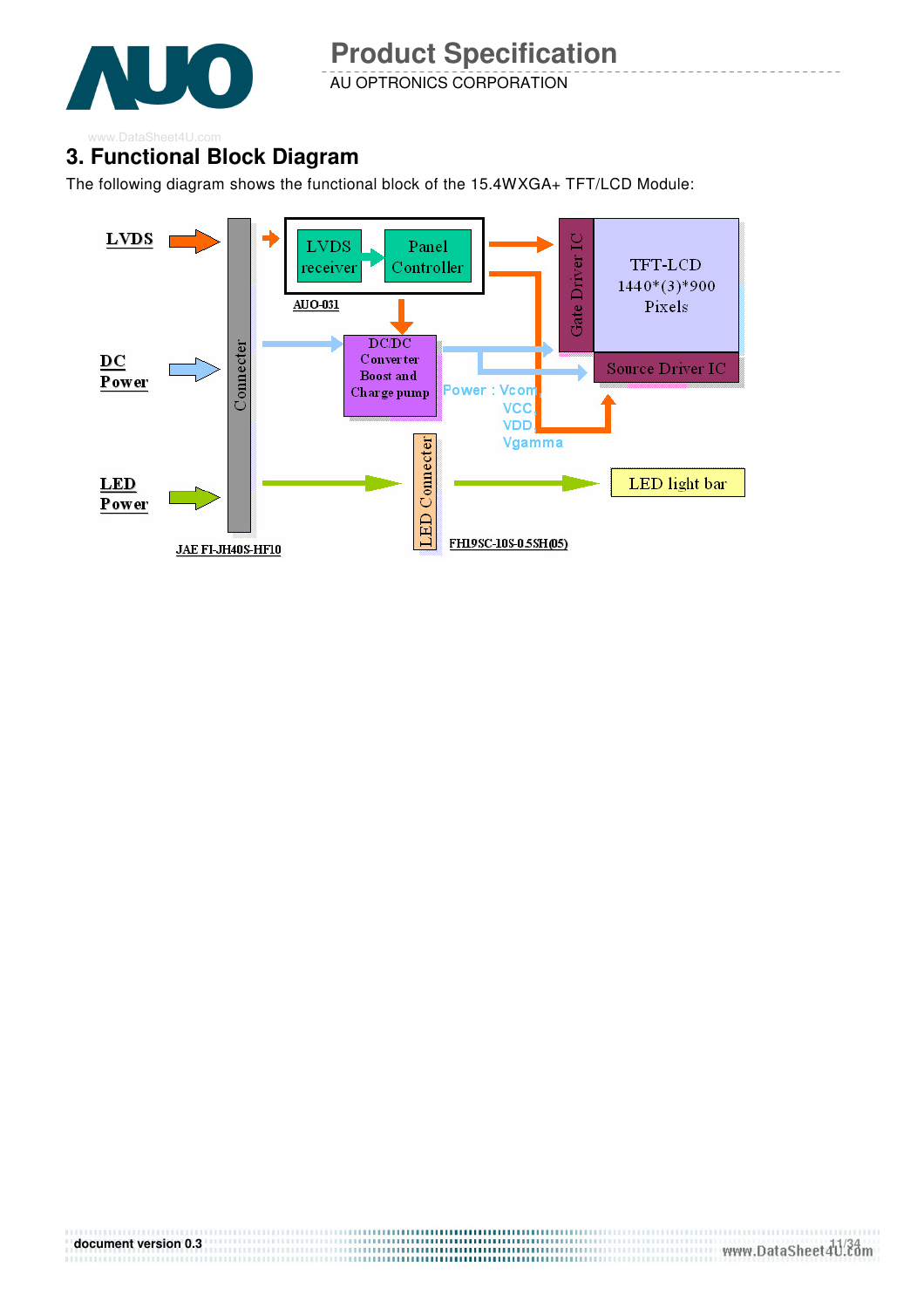

AU OPTRONICS CORPORATION

#### **3. Functional Block Diagram**  www.DataSheet4U.com

The following diagram shows the functional block of the 15.4WXGA+ TFT/LCD Module:

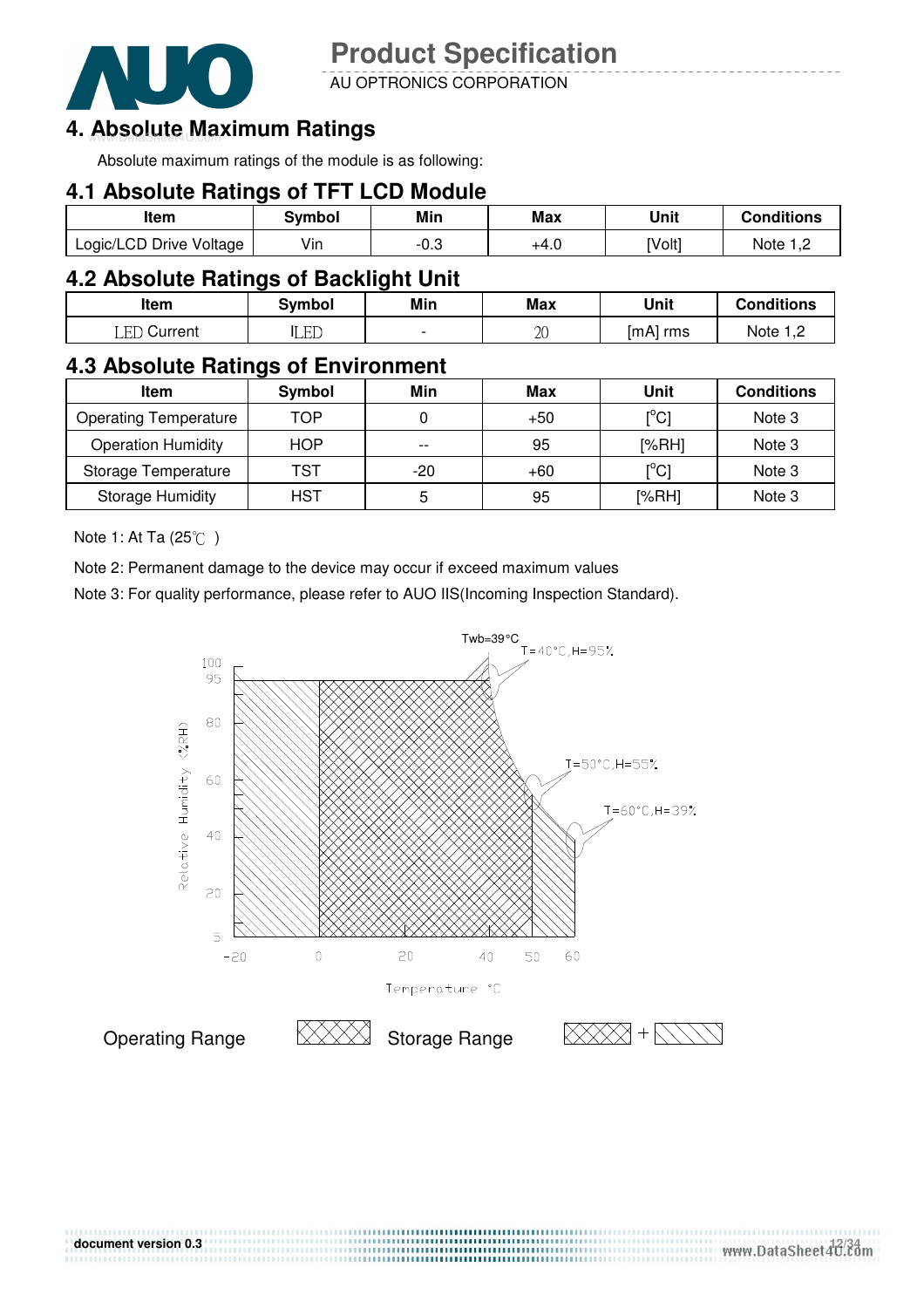

AU OPTRONICS CORPORATION

### 4. Absolute Maximum Ratings

Absolute maximum ratings of the module is as following:

### **4.1 Absolute Ratings of TFT LCD Module**

| ltem                    | Svmbol | Min  | Max  | Unit   | <b>Conditions</b> |
|-------------------------|--------|------|------|--------|-------------------|
| Logic/LCD Drive Voltage | Vin    | -u.J | +4.0 | [Volt] | Note              |

### **4.2 Absolute Ratings of Backlight Unit**

| Item           | <b>Symbol</b> | Min                      | <b>Max</b> | Unit       | <b>Conditions</b> |
|----------------|---------------|--------------------------|------------|------------|-------------------|
| LED<br>Current | LED           | $\overline{\phantom{0}}$ | 20         | mA <br>rms | Note              |

### **4.3 Absolute Ratings of Environment**

| <b>Item</b>                  | Symbol     | Min   | Max   | Unit  | <b>Conditions</b> |
|------------------------------|------------|-------|-------|-------|-------------------|
| <b>Operating Temperature</b> | TOP        |       | $+50$ | [°C]  | Note 3            |
| <b>Operation Humidity</b>    | <b>HOP</b> | $- -$ | 95    | [%RH] | Note 3            |
| Storage Temperature          | TST        | -20   | $+60$ | [°C]  | Note 3            |
| <b>Storage Humidity</b>      | HST        | ა     | 95    | [%RH] | Note 3            |

Note 1: At Ta (25°C)

Note 2: Permanent damage to the device may occur if exceed maximum values

Note 3: For quality performance, please refer to AUO IIS(Incoming Inspection Standard).

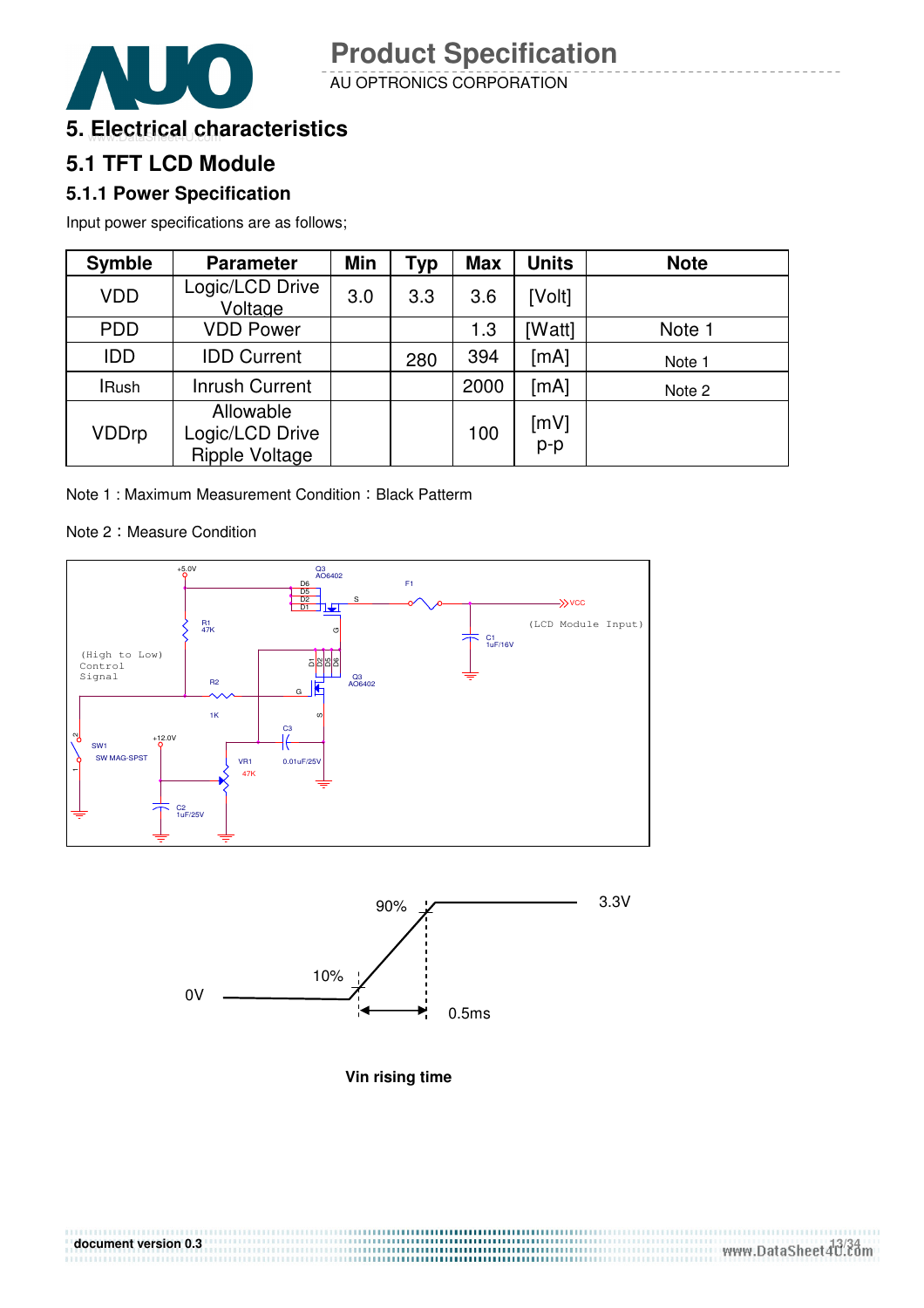

AU OPTRONICS CORPORATION

### **5. Electrical characteristics**

### **5.1 TFT LCD Module**

### **5.1.1 Power Specification**

Input power specifications are as follows;

| <b>Symble</b> | <b>Parameter</b>                                      | <b>Min</b> | Typ | <b>Max</b> | <b>Units</b> | <b>Note</b> |
|---------------|-------------------------------------------------------|------------|-----|------------|--------------|-------------|
| <b>VDD</b>    | Logic/LCD Drive<br>Voltage                            | 3.0        | 3.3 | 3.6        | [Volt]       |             |
| <b>PDD</b>    | <b>VDD Power</b>                                      |            |     | 1.3        | [Watt]       | Note 1      |
| <b>IDD</b>    | <b>IDD Current</b>                                    |            | 280 | 394        | [mA]         | Note 1      |
| <b>IRush</b>  | <b>Inrush Current</b>                                 |            |     | 2000       | [mA]         | Note 2      |
| <b>VDDrp</b>  | Allowable<br>Logic/LCD Drive<br><b>Ripple Voltage</b> |            |     | 100        | [mV]<br>p-p  |             |

Note 1: Maximum Measurement Condition: Black Patterm

#### Note 2: Measure Condition





**Vin rising time**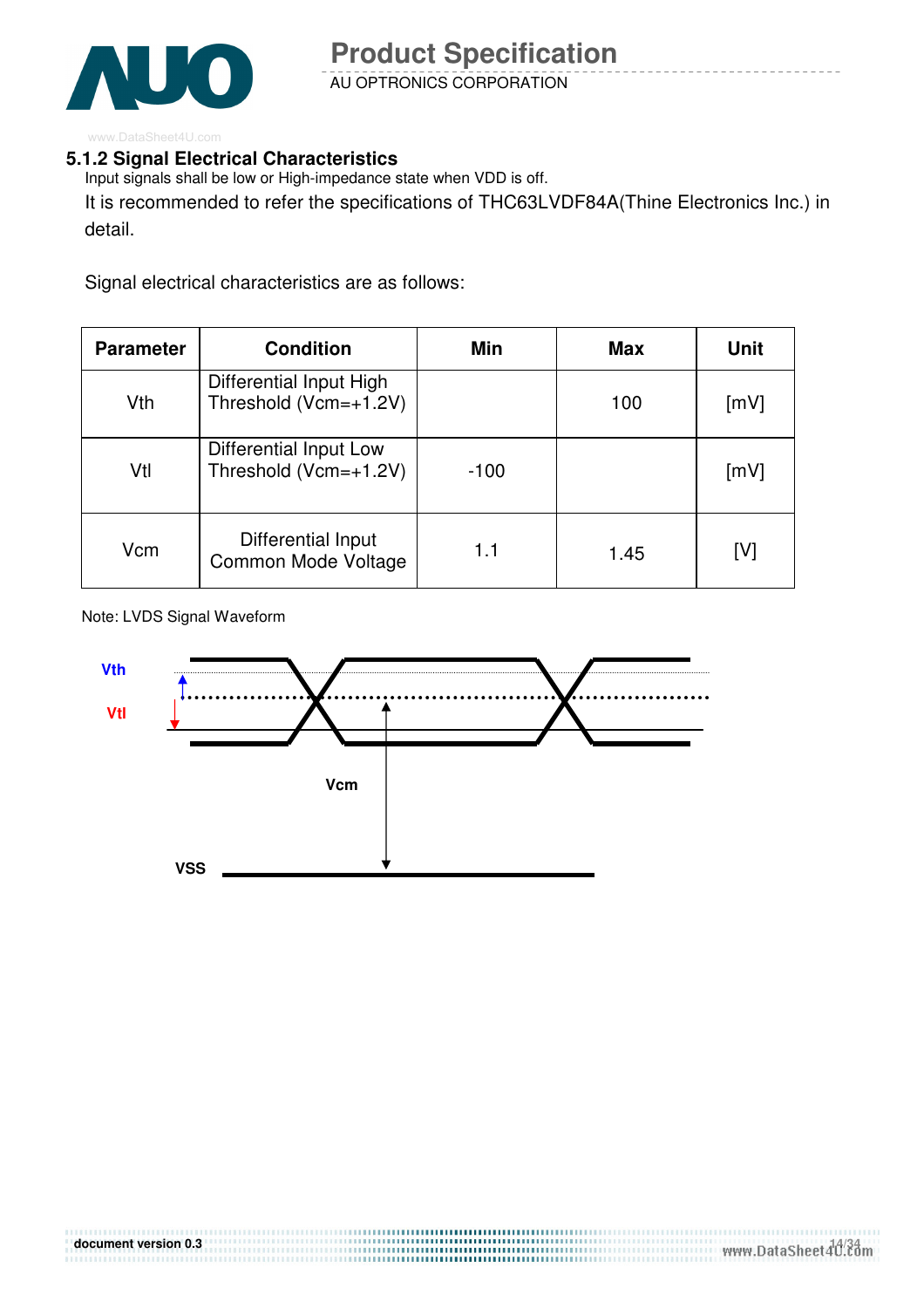

#### **5.1.2 Signal Electrical Characteristics**

Input signals shall be low or High-impedance state when VDD is off. It is recommended to refer the specifications of THC63LVDF84A(Thine Electronics Inc.) in detail.

Signal electrical characteristics are as follows:

| <b>Parameter</b> | <b>Condition</b>                                       | Min    | <b>Max</b> | <b>Unit</b> |
|------------------|--------------------------------------------------------|--------|------------|-------------|
| V <sub>th</sub>  | Differential Input High<br>Threshold (Vcm=+1.2V)       |        | 100        | [mV]        |
| Vtl              | <b>Differential Input Low</b><br>Threshold (Vcm=+1.2V) | $-100$ |            | [mV]        |
| Vcm              | Differential Input<br>Common Mode Voltage              | 1.1    | 1.45       | [V]         |

Note: LVDS Signal Waveform

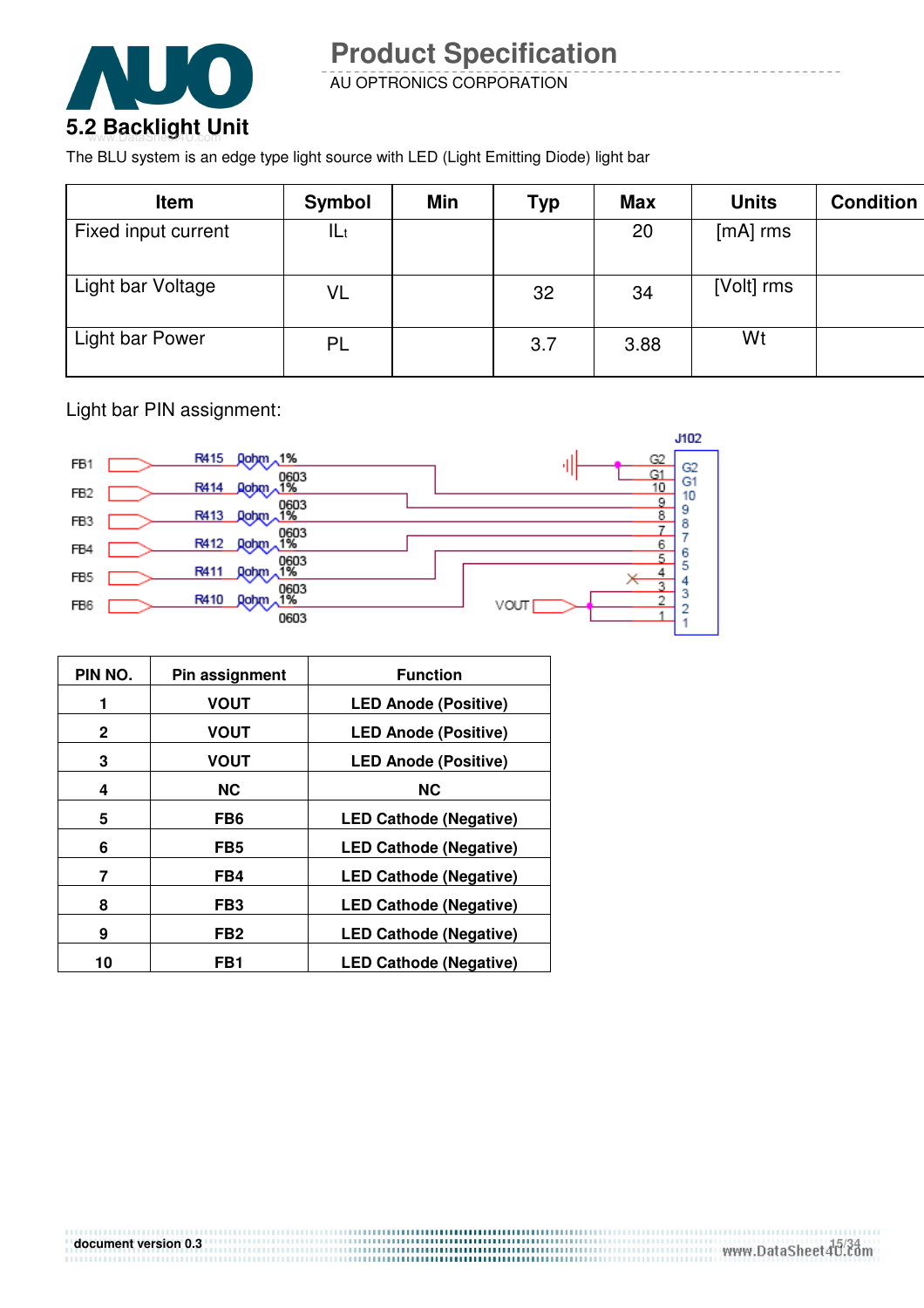

AU OPTRONICS CORPORATION

The BLU system is an edge type light source with LED (Light Emitting Diode) light bar

| <b>Item</b>         | <b>Symbol</b> | Min | <b>Typ</b> | <b>Max</b> | <b>Units</b> | <b>Condition</b> |
|---------------------|---------------|-----|------------|------------|--------------|------------------|
| Fixed input current | lLt           |     |            | 20         | $[mA]$ rms   |                  |
| Light bar Voltage   | VL            |     | 32         | 34         | [Volt] rms   |                  |
| Light bar Power     | PL            |     | 3.7        | 3.88       | Wt           |                  |

Light bar PIN assignment:



| PIN NO. | Pin assignment  | <b>Function</b>               |
|---------|-----------------|-------------------------------|
| 1       | <b>VOUT</b>     | <b>LED Anode (Positive)</b>   |
| 2       | <b>VOUT</b>     | <b>LED Anode (Positive)</b>   |
| 3       | <b>VOUT</b>     | <b>LED Anode (Positive)</b>   |
| 4       | <b>NC</b>       | <b>NC</b>                     |
| 5       | FB <sub>6</sub> | <b>LED Cathode (Negative)</b> |
| 6       | FB5             | <b>LED Cathode (Negative)</b> |
| 7       | FB4             | <b>LED Cathode (Negative)</b> |
| 8       | FB <sub>3</sub> | <b>LED Cathode (Negative)</b> |
| 9       | FB <sub>2</sub> | <b>LED Cathode (Negative)</b> |
| 10      | FB1             | <b>LED Cathode (Negative)</b> |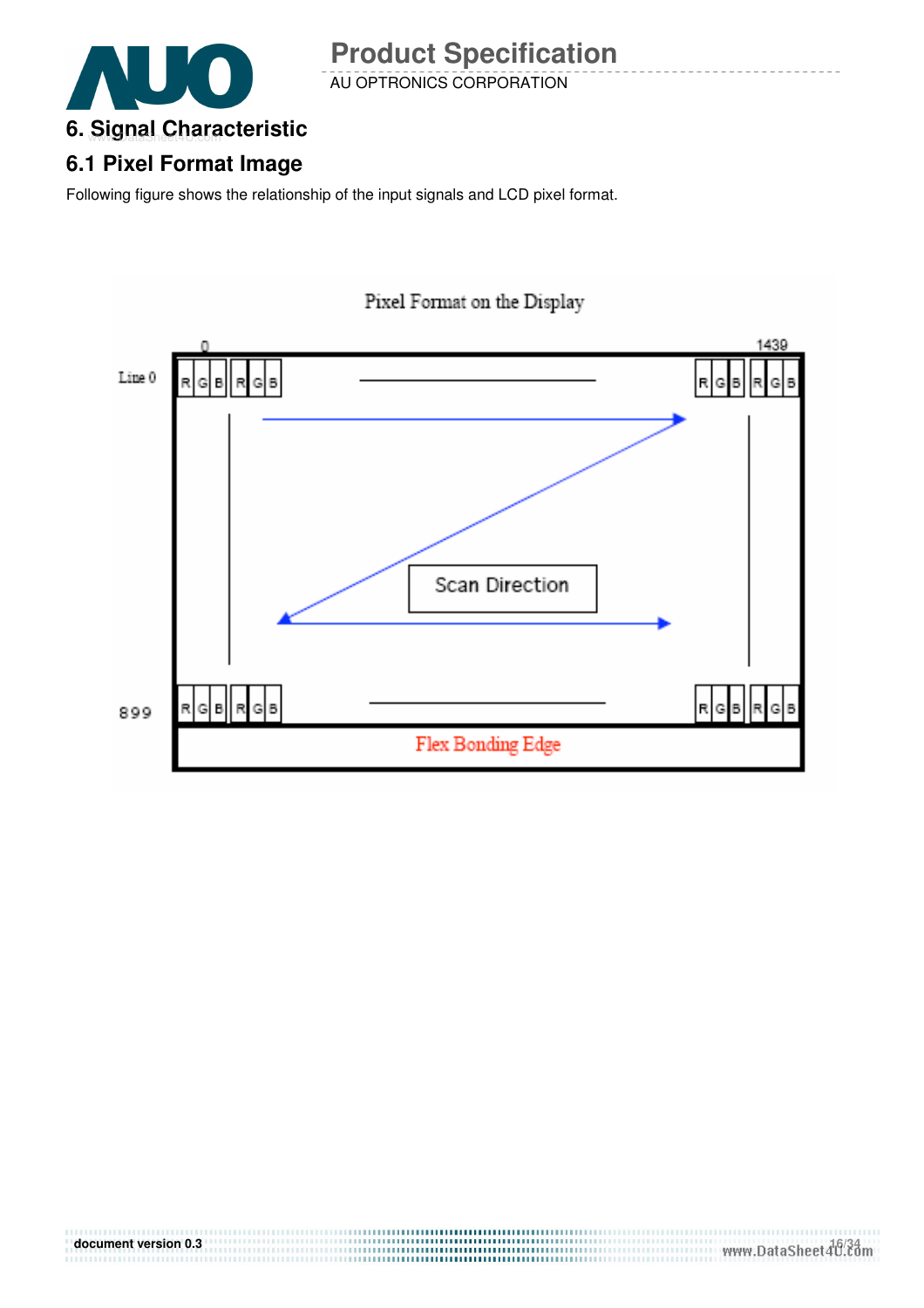

### AU OPTRONICS CORPORATION **Product Specification**

### **6.1 Pixel Format Image**

Following figure shows the relationship of the input signals and LCD pixel format.



#### **document version 0.3** 16/34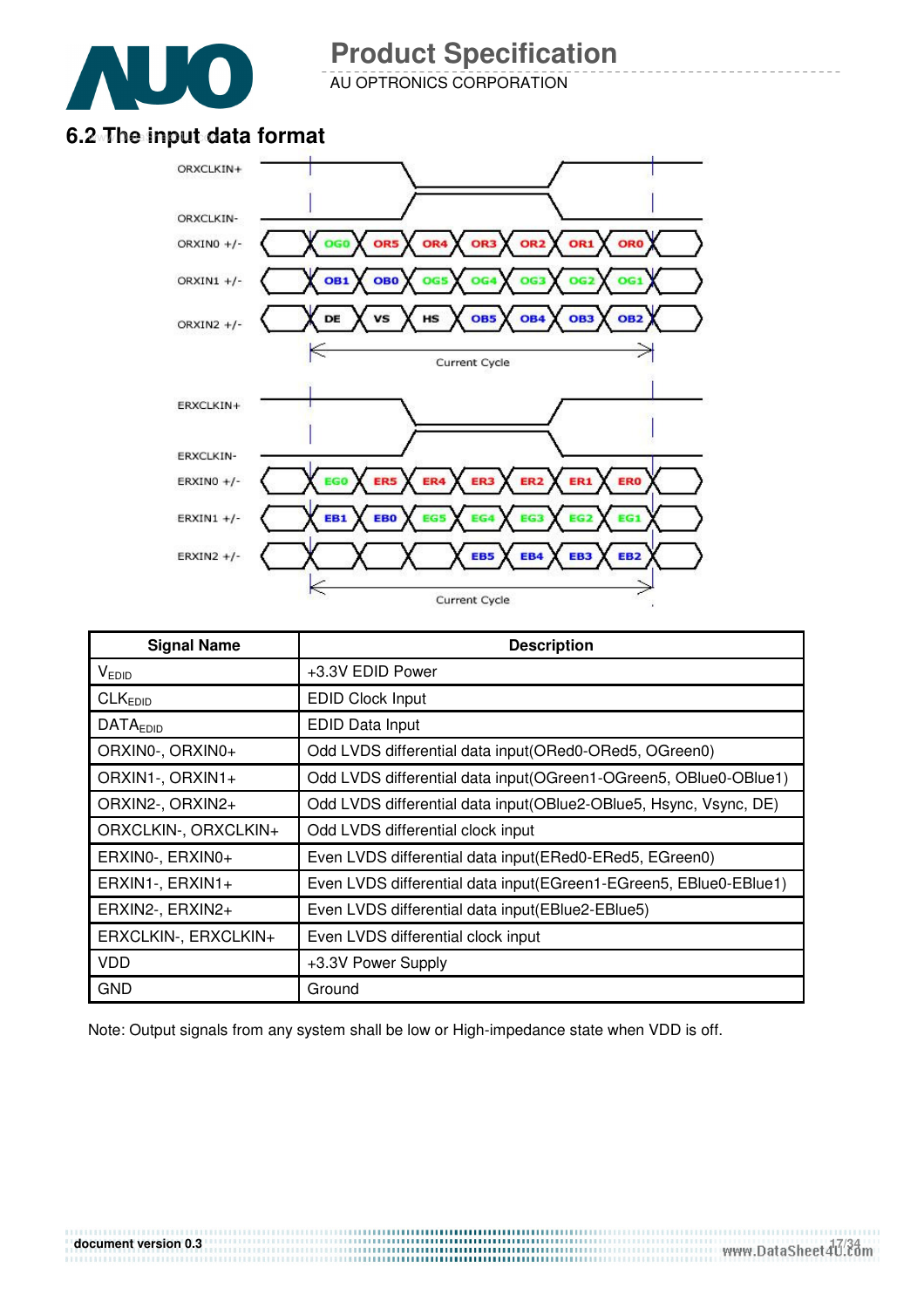

AU OPTRONICS CORPORATION

### 6.2 The input data format



| <b>Signal Name</b>   | <b>Description</b>                                                 |
|----------------------|--------------------------------------------------------------------|
| V <sub>EDID</sub>    | +3.3V EDID Power                                                   |
| CLK <sub>EDID</sub>  | <b>EDID Clock Input</b>                                            |
| <b>DATAEDID</b>      | EDID Data Input                                                    |
| ORXIN0-, ORXIN0+     | Odd LVDS differential data input(ORed0-ORed5, OGreen0)             |
| ORXIN1-, ORXIN1+     | Odd LVDS differential data input (OGreen1-OGreen5, OBlue0-OBlue1)  |
| ORXIN2-, ORXIN2+     | Odd LVDS differential data input(OBlue2-OBlue5, Hsync, Vsync, DE)  |
| ORXCLKIN-, ORXCLKIN+ | Odd LVDS differential clock input                                  |
| ERXINO-, ERXINO+     | Even LVDS differential data input (ERed0-ERed5, EGreen0)           |
| ERXIN1-, ERXIN1+     | Even LVDS differential data input (EGreen1-EGreen5, EBIue0-EBIue1) |
| ERXIN2-, ERXIN2+     | Even LVDS differential data input(EBlue2-EBlue5)                   |
| ERXCLKIN-, ERXCLKIN+ | Even LVDS differential clock input                                 |
| <b>VDD</b>           | +3.3V Power Supply                                                 |
| <b>GND</b>           | Ground                                                             |

Note: Output signals from any system shall be low or High-impedance state when VDD is off.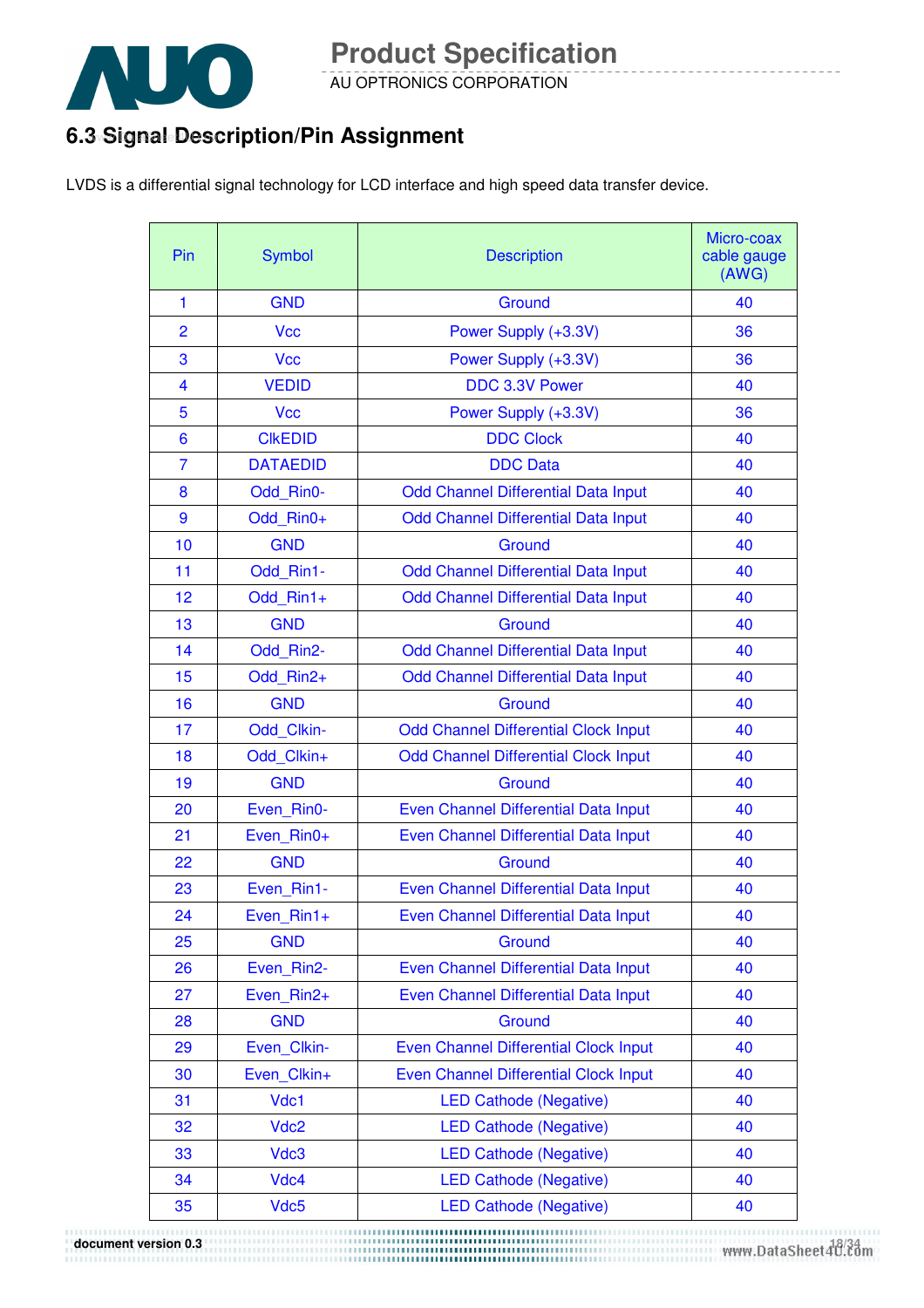

AU OPTRONICS CORPORATION

### 6.3 Signal Description/Pin Assignment

LVDS is a differential signal technology for LCD interface and high speed data transfer device.

| Pin | <b>Symbol</b>    | <b>Description</b>                          | Micro-coax<br>cable gauge<br>(AWG) |
|-----|------------------|---------------------------------------------|------------------------------------|
| 1   | <b>GND</b>       | Ground                                      | 40                                 |
| 2   | <b>Vcc</b>       | Power Supply (+3.3V)                        | 36                                 |
| 3   | <b>Vcc</b>       | Power Supply (+3.3V)                        | 36                                 |
| 4   | <b>VEDID</b>     | DDC 3.3V Power                              | 40                                 |
| 5   | <b>Vcc</b>       | Power Supply (+3.3V)                        | 36                                 |
| 6   | <b>CIKEDID</b>   | <b>DDC Clock</b>                            | 40                                 |
| 7   | <b>DATAEDID</b>  | <b>DDC Data</b>                             | 40                                 |
| 8   | Odd Rin0-        | Odd Channel Differential Data Input         | 40                                 |
| 9   | Odd Rin0+        | Odd Channel Differential Data Input         | 40                                 |
| 10  | <b>GND</b>       | Ground                                      | 40                                 |
| 11  | Odd Rin1-        | <b>Odd Channel Differential Data Input</b>  | 40                                 |
| 12  | Odd Rin1+        | Odd Channel Differential Data Input         | 40                                 |
| 13  | <b>GND</b>       | Ground                                      | 40                                 |
| 14  | Odd Rin2-        | Odd Channel Differential Data Input         | 40                                 |
| 15  | Odd Rin2+        | Odd Channel Differential Data Input         | 40                                 |
| 16  | <b>GND</b>       | Ground                                      | 40                                 |
| 17  | Odd Clkin-       | <b>Odd Channel Differential Clock Input</b> | 40                                 |
| 18  | Odd Clkin+       | <b>Odd Channel Differential Clock Input</b> | 40                                 |
| 19  | <b>GND</b>       | Ground                                      | 40                                 |
| 20  | Even Rin0-       | Even Channel Differential Data Input        | 40                                 |
| 21  | Even Rin0+       | Even Channel Differential Data Input        | 40                                 |
| 22  | <b>GND</b>       | Ground                                      | 40                                 |
| 23  | Even Rin1-       | Even Channel Differential Data Input        | 40                                 |
| 24  | Even Rin1+       | Even Channel Differential Data Input        | 40                                 |
| 25  | <b>GND</b>       | Ground                                      | 40                                 |
| 26  | Even Rin2-       | Even Channel Differential Data Input        | 40                                 |
| 27  | Even Rin2+       | Even Channel Differential Data Input        | 40                                 |
| 28  | <b>GND</b>       | Ground                                      | 40                                 |
| 29  | Even Clkin-      | Even Channel Differential Clock Input       | 40                                 |
| 30  | Even Clkin+      | Even Channel Differential Clock Input       | 40                                 |
| 31  | Vdc1             | <b>LED Cathode (Negative)</b>               | 40                                 |
| 32  | Vdc <sub>2</sub> | <b>LED Cathode (Negative)</b>               | 40                                 |
| 33  | Vdc3             | <b>LED Cathode (Negative)</b>               | 40                                 |
| 34  | Vdc4             | <b>LED Cathode (Negative)</b>               | 40                                 |
| 35  | Vdc5             | <b>LED Cathode (Negative)</b>               | 40                                 |

document version 0.3<br>www.DataSheet4U.com بين المستقلة والمستقلة والمستقلة المستقلة والمستقلة المستقلة والمستقلة والمستقلة المستقلة وال<br>www.DataSheet4U.com بين المستقلة المستقلة والمستقلة المستقلة المستقلة المستقلة المستقلة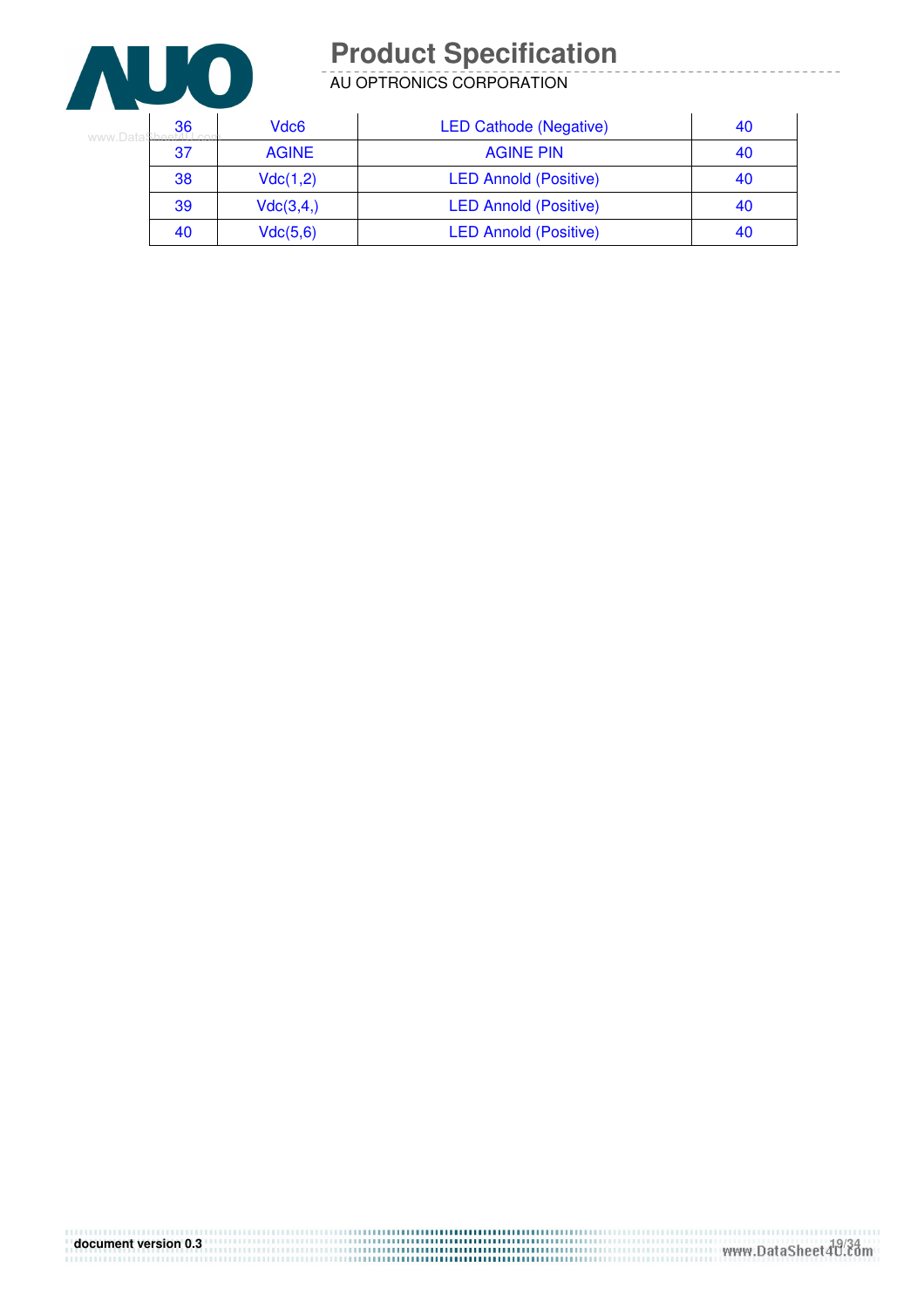

AU OPTRONICS CORPORATION

| Vdc6<br>36<br>www DataSheet4LL |              | <b>LED Cathode (Negative)</b> | 40 |
|--------------------------------|--------------|-------------------------------|----|
| 37                             | <b>AGINE</b> | <b>AGINE PIN</b>              | 40 |
| 38                             | Vdc(1,2)     | <b>LED Annold (Positive)</b>  | 40 |
| 39                             | Vdc(3,4)     | <b>LED Annold (Positive)</b>  | 40 |
| 40                             | Vdc(5,6)     | <b>LED Annold (Positive)</b>  | 40 |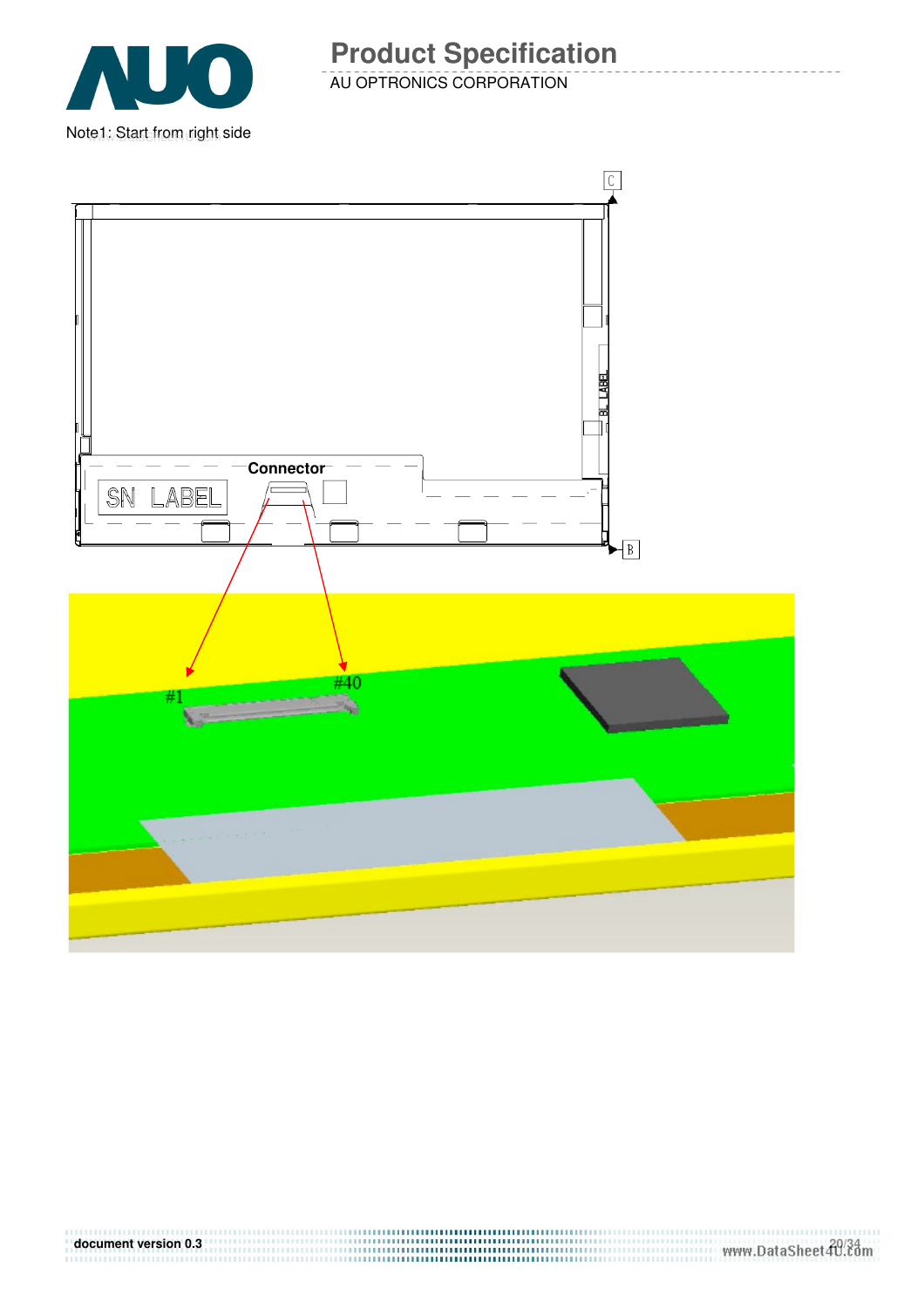

AU OPTRONICS CORPORATION **Product Specification** 

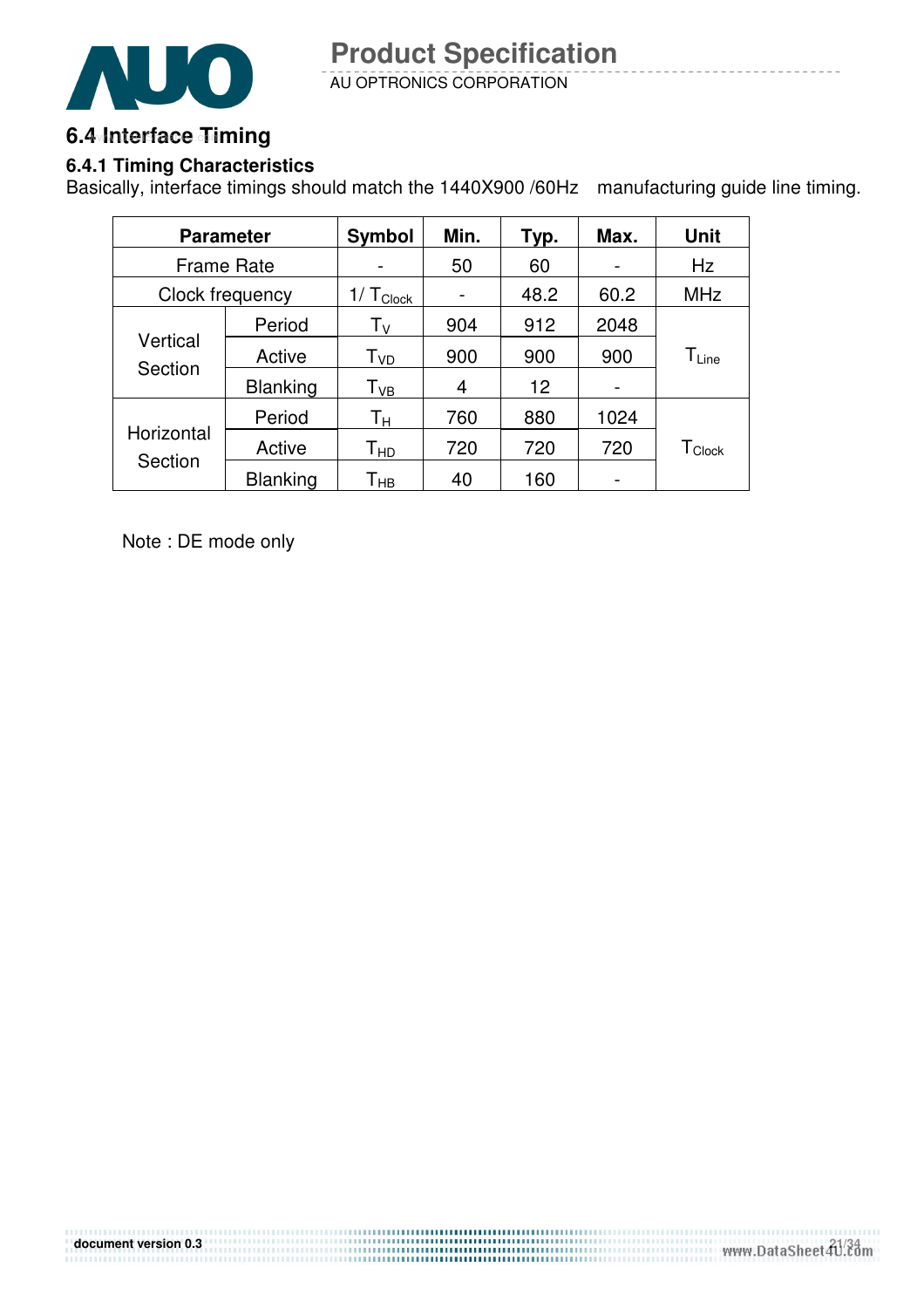

### 6.4 Interface Timing

### **6.4.1 Timing Characteristics**

Basically, interface timings should match the 1440X900 /60Hz manufacturing guide line timing.

| <b>Parameter</b>      |                 | <b>Symbol</b>              | Min. | Typ. | Max. | <b>Unit</b>                   |
|-----------------------|-----------------|----------------------------|------|------|------|-------------------------------|
| <b>Frame Rate</b>     |                 |                            | 50   | 60   |      | Hz                            |
|                       | Clock frequency | $1/T_{Clock}$              |      | 48.2 | 60.2 | <b>MHz</b>                    |
| Vertical<br>Section   | Period          | Τv                         | 904  | 912  | 2048 |                               |
|                       | Active          | T <sub>VD</sub>            | 900  | 900  | 900  | $\mathsf{T}_{\mathsf{Line}}$  |
|                       | <b>Blanking</b> | $\mathsf{T}_{\mathsf{VB}}$ | 4    | 12   |      |                               |
| Horizontal<br>Section | Period          | Τн                         | 760  | 880  | 1024 |                               |
|                       | Active          | Т <sub>нр</sub>            | 720  | 720  | 720  | $\mathsf{T}_{\mathsf{Clock}}$ |
|                       | <b>Blanking</b> | Т <sub>нв</sub>            | 40   | 160  |      |                               |

Note : DE mode only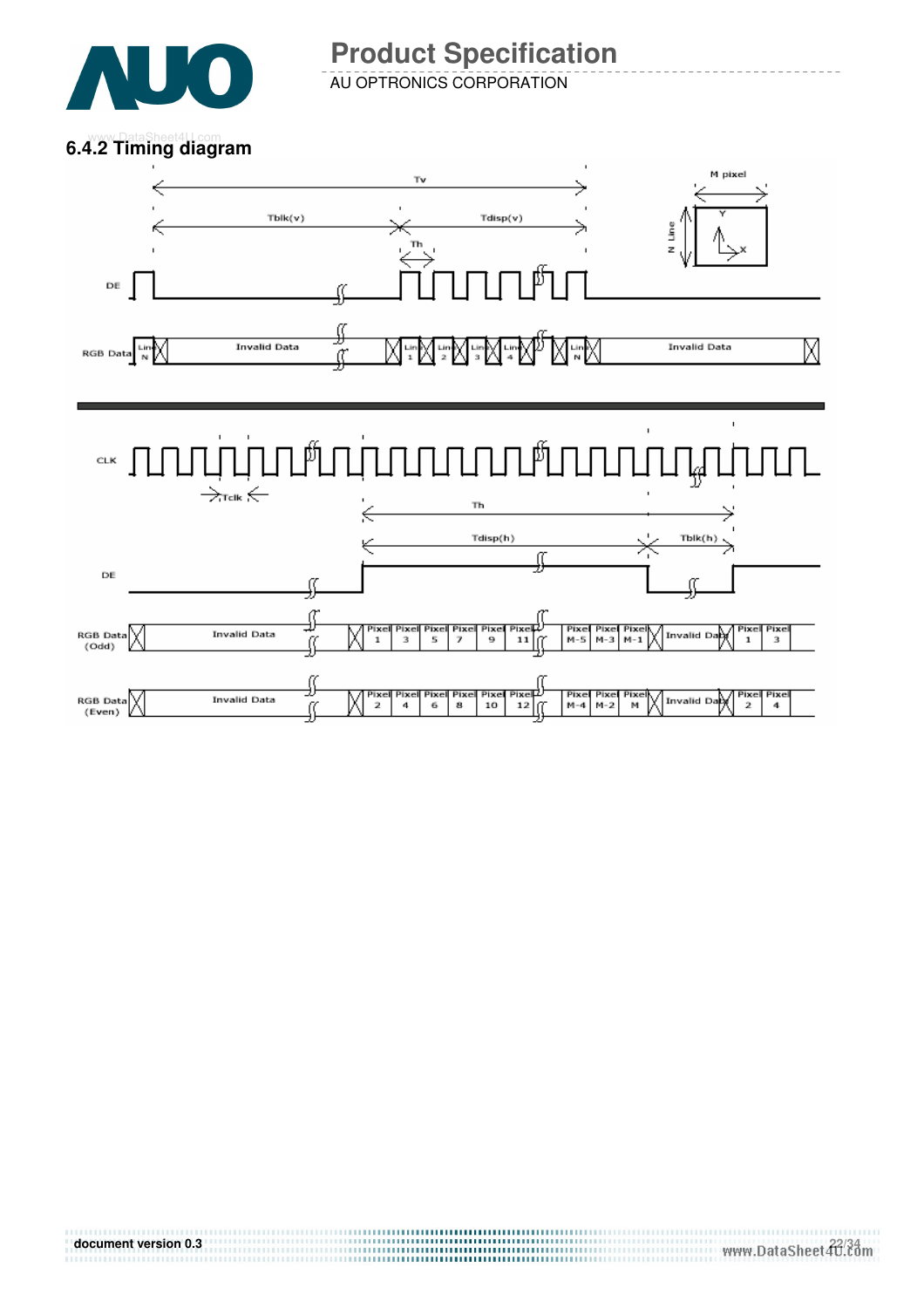

AU OPTRONICS CORPORATION **Product Specification** 

### **6.4.2 Timing diagram**

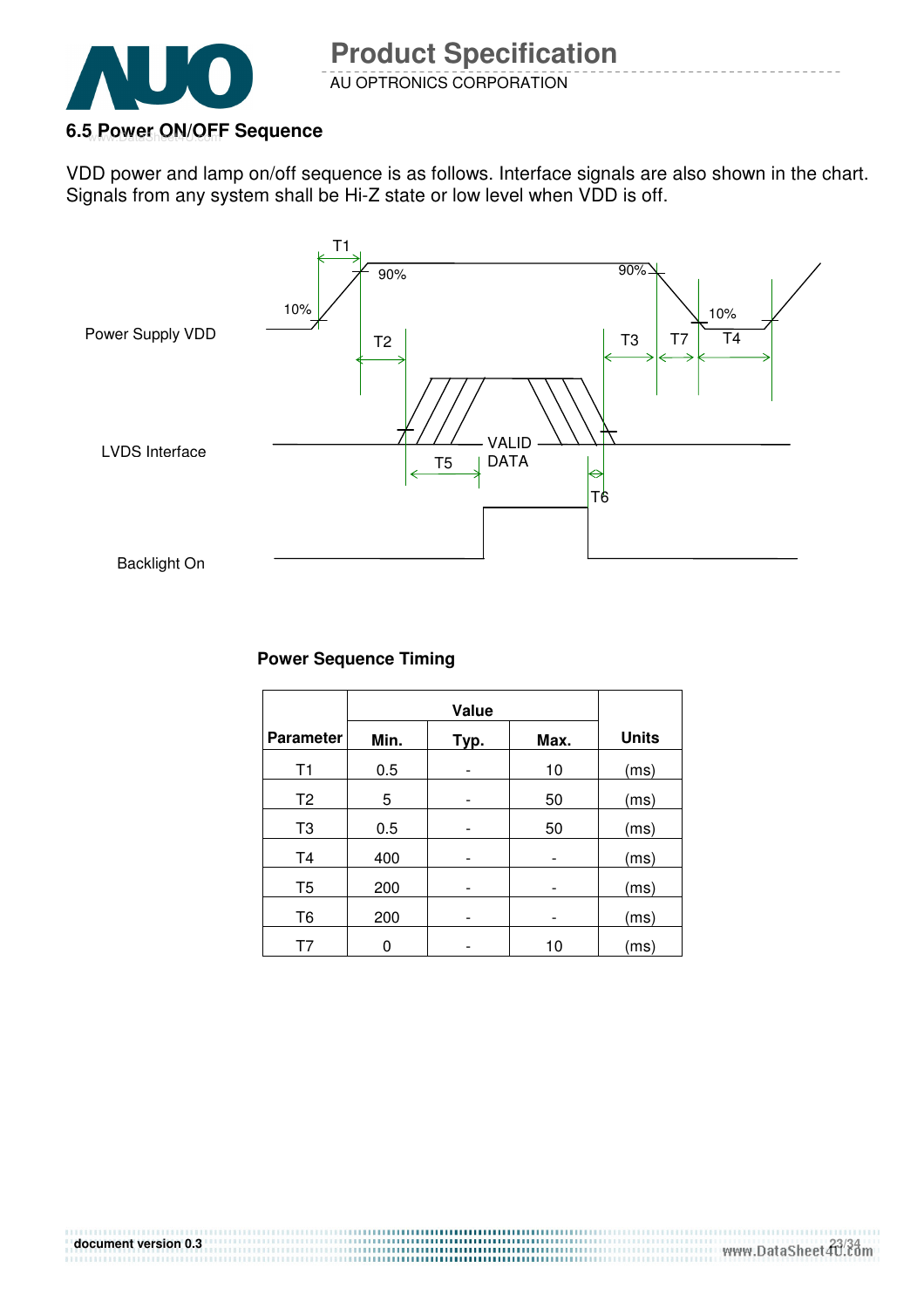

### 6.5 Power ON/OFF Sequence

VDD power and lamp on/off sequence is as follows. Interface signals are also shown in the chart. Signals from any system shall be Hi-Z state or low level when VDD is off.



#### **Power Sequence Timing**

| <b>Parameter</b> | Min.<br>Max.<br>Typ. |  |    | <b>Units</b> |
|------------------|----------------------|--|----|--------------|
| T1               | 0.5                  |  | 10 | (ms)         |
| T <sub>2</sub>   | 5                    |  | 50 | (ms)         |
| T <sub>3</sub>   | 0.5                  |  | 50 | (ms)         |
| T <sub>4</sub>   | 400                  |  |    | (ms)         |
| T <sub>5</sub>   | 200                  |  | -  | (ms)         |
| T <sub>6</sub>   | 200                  |  |    | (ms)         |
| Τ7               |                      |  | 10 | (ms)         |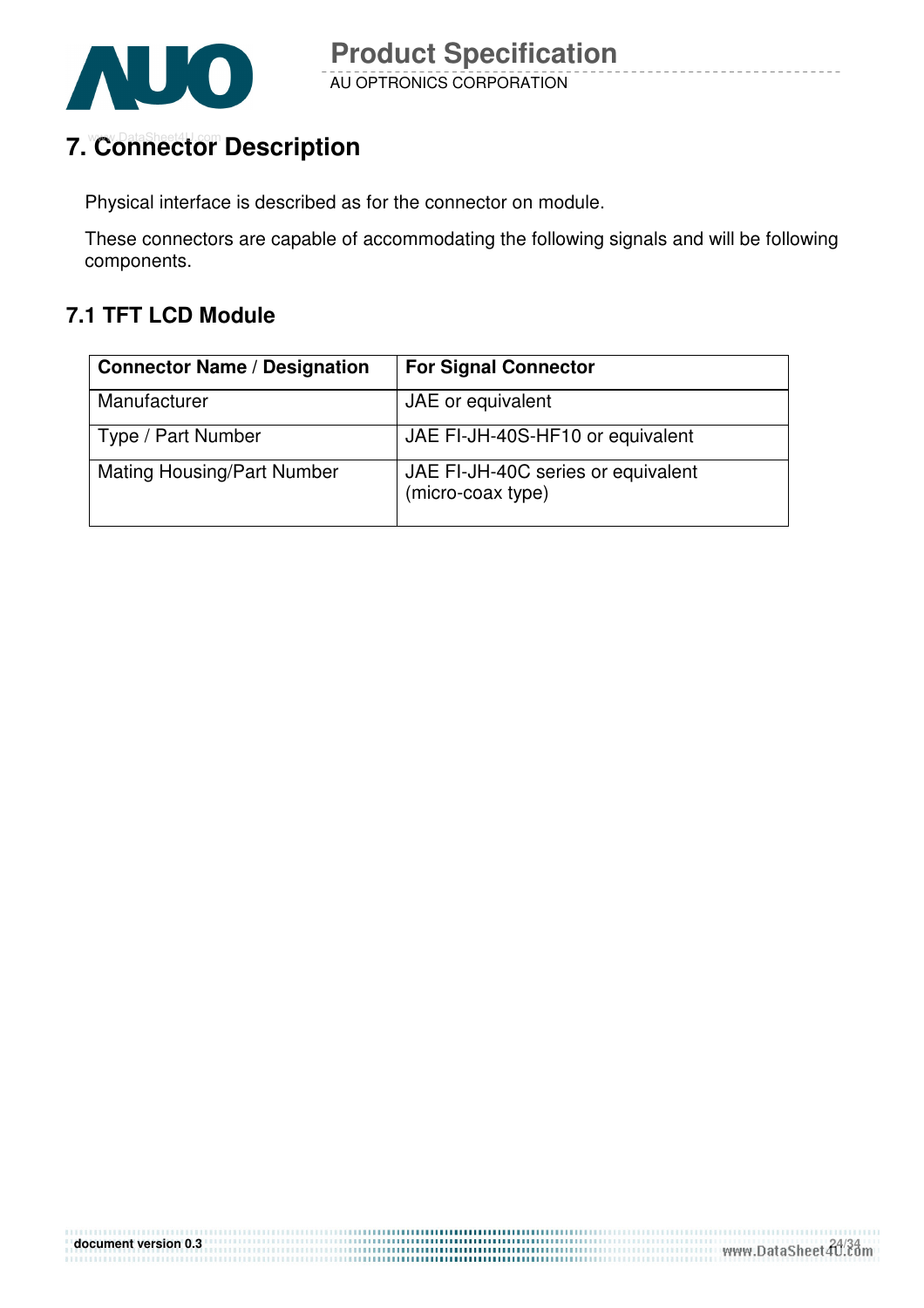

## **7. Connector Description**

Physical interface is described as for the connector on module.

These connectors are capable of accommodating the following signals and will be following components.

### **7.1 TFT LCD Module**

| <b>Connector Name / Designation</b> | <b>For Signal Connector</b>                             |
|-------------------------------------|---------------------------------------------------------|
| Manufacturer                        | JAE or equivalent                                       |
| Type / Part Number                  | JAE FI-JH-40S-HF10 or equivalent                        |
| <b>Mating Housing/Part Number</b>   | JAE FI-JH-40C series or equivalent<br>(micro-coax type) |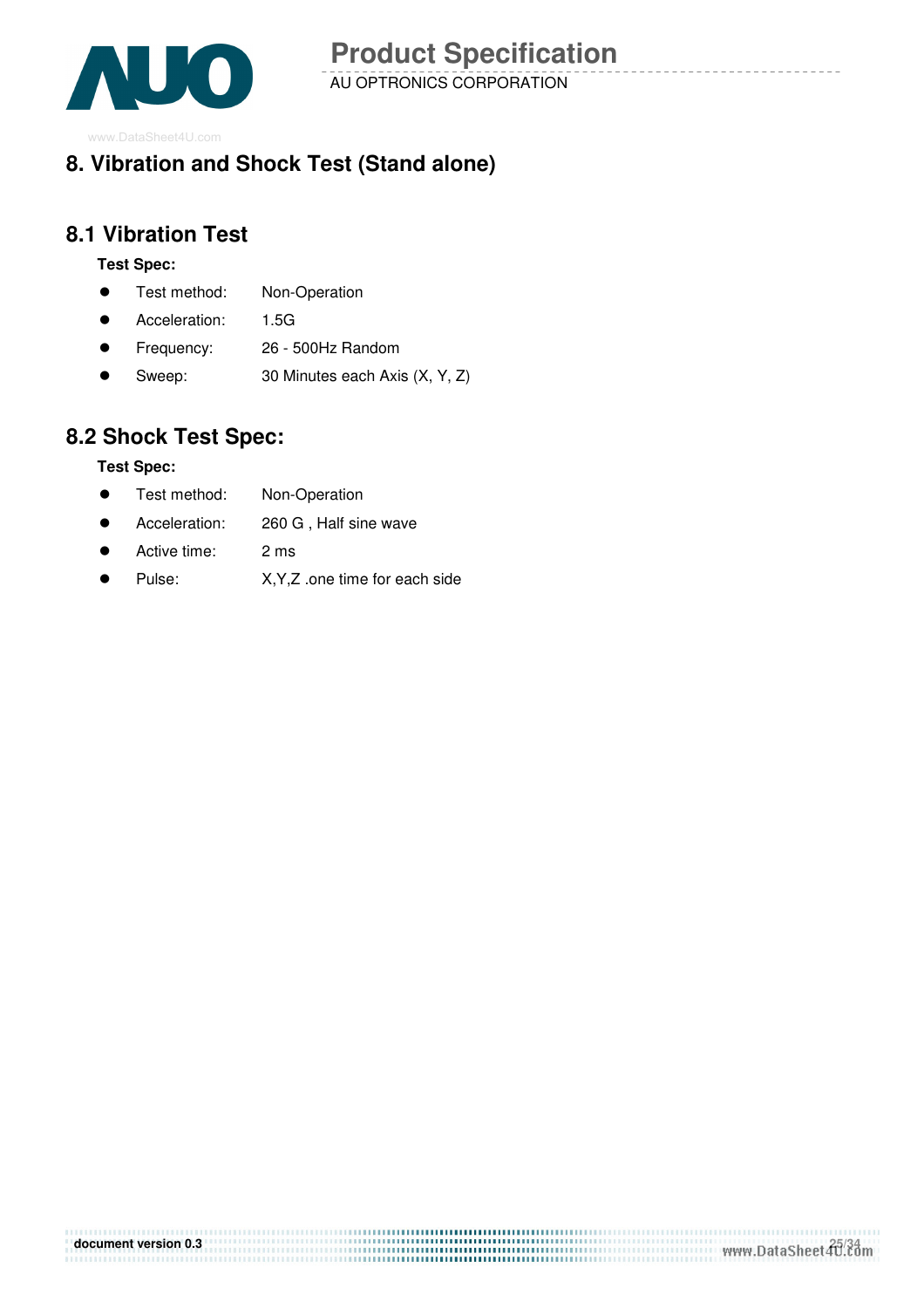

1999 - 1999 - 1999 - 1999 - 1999 - 1999 - 1999 - 1999 - 1999 - 1999 - 1999 - 1999 - 1999 - 1999 - 1999 - 1999 -

### **8. Vibration and Shock Test (Stand alone)**

### **8.1 Vibration Test**

#### **Test Spec:**

- **•** Test method: Non-Operation
- Acceleration: 1.5G
- Frequency: 26 500Hz Random
- Sweep: 30 Minutes each Axis (X, Y, Z)

### **8.2 Shock Test Spec:**

#### **Test Spec:**

- **•** Test method: Non-Operation
- Acceleration: 260 G , Half sine wave
- Active time: 2 ms
- Pulse: X,Y,Z .one time for each side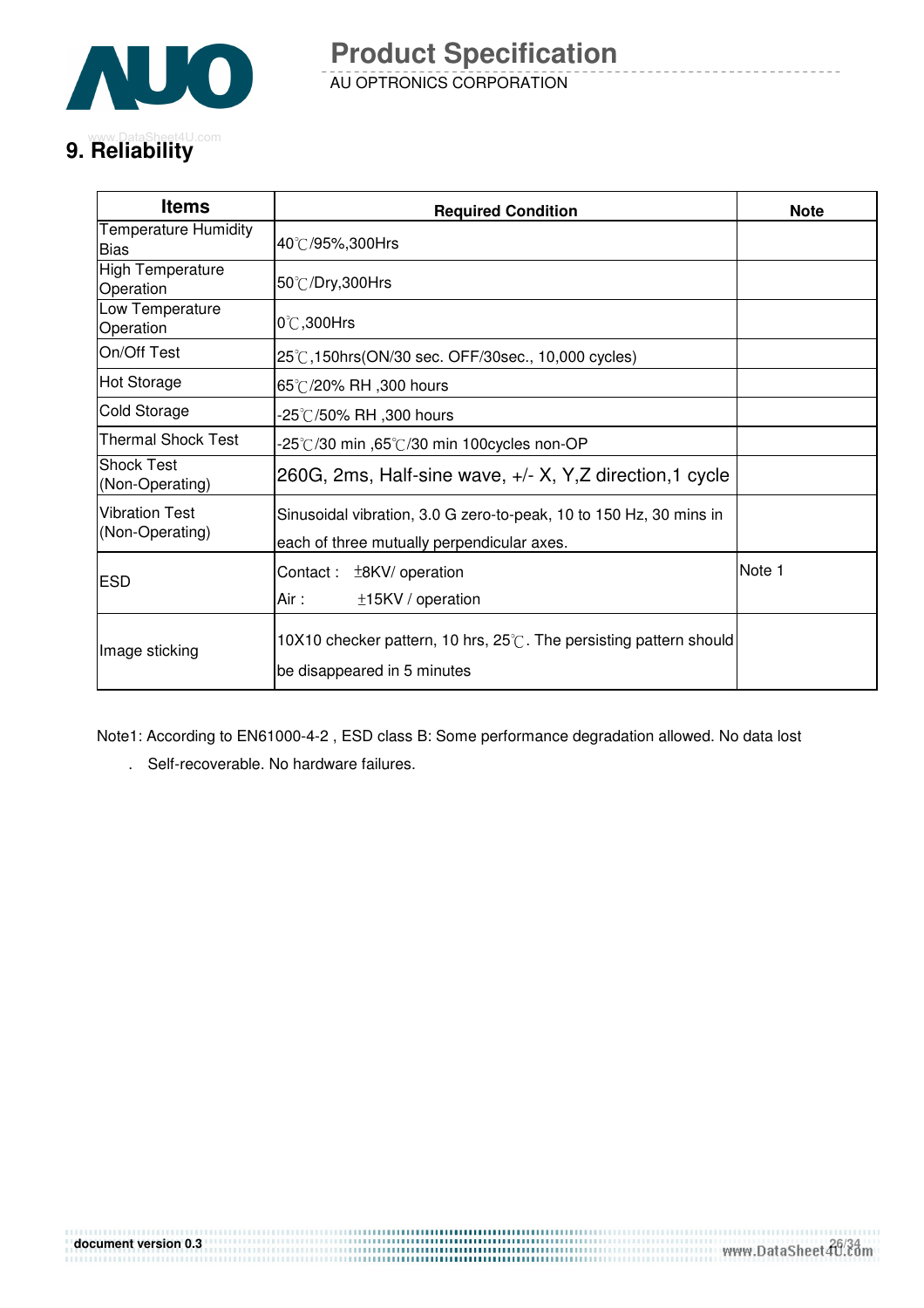

AU OPTRONICS CORPORATION **Product Specification** 

## **9. Reliability** com

| <b>Items</b>                               | <b>Required Condition</b>                                                                                        | <b>Note</b> |
|--------------------------------------------|------------------------------------------------------------------------------------------------------------------|-------------|
| <b>Temperature Humidity</b><br><b>Bias</b> | 40℃/95%,300Hrs                                                                                                   |             |
| <b>High Temperature</b><br>Operation       | 50°C/Dry,300Hrs                                                                                                  |             |
| Low Temperature<br>Operation               | 0℃,300Hrs                                                                                                        |             |
| On/Off Test                                | 25℃,150hrs(ON/30 sec. OFF/30sec., 10,000 cycles)                                                                 |             |
| <b>Hot Storage</b>                         | 65℃/20% RH ,300 hours                                                                                            |             |
| Cold Storage                               | -25℃/50% RH ,300 hours                                                                                           |             |
| Thermal Shock Test                         | -25°C/30 min ,65°C/30 min 100cycles non-OP                                                                       |             |
| <b>Shock Test</b><br>(Non-Operating)       | 260G, 2ms, Half-sine wave, +/- X, Y, Z direction, 1 cycle                                                        |             |
| <b>Vibration Test</b><br>(Non-Operating)   | Sinusoidal vibration, 3.0 G zero-to-peak, 10 to 150 Hz, 30 mins in<br>each of three mutually perpendicular axes. |             |
| ESD                                        | Contact: $\pm$ 8KV/ operation<br>Air :<br>±15KV / operation                                                      | Note 1      |
| Image sticking                             | 10X10 checker pattern, 10 hrs, 25°C. The persisting pattern should<br>be disappeared in 5 minutes                |             |

Note1: According to EN61000-4-2 , ESD class B: Some performance degradation allowed. No data lost

. Self-recoverable. No hardware failures.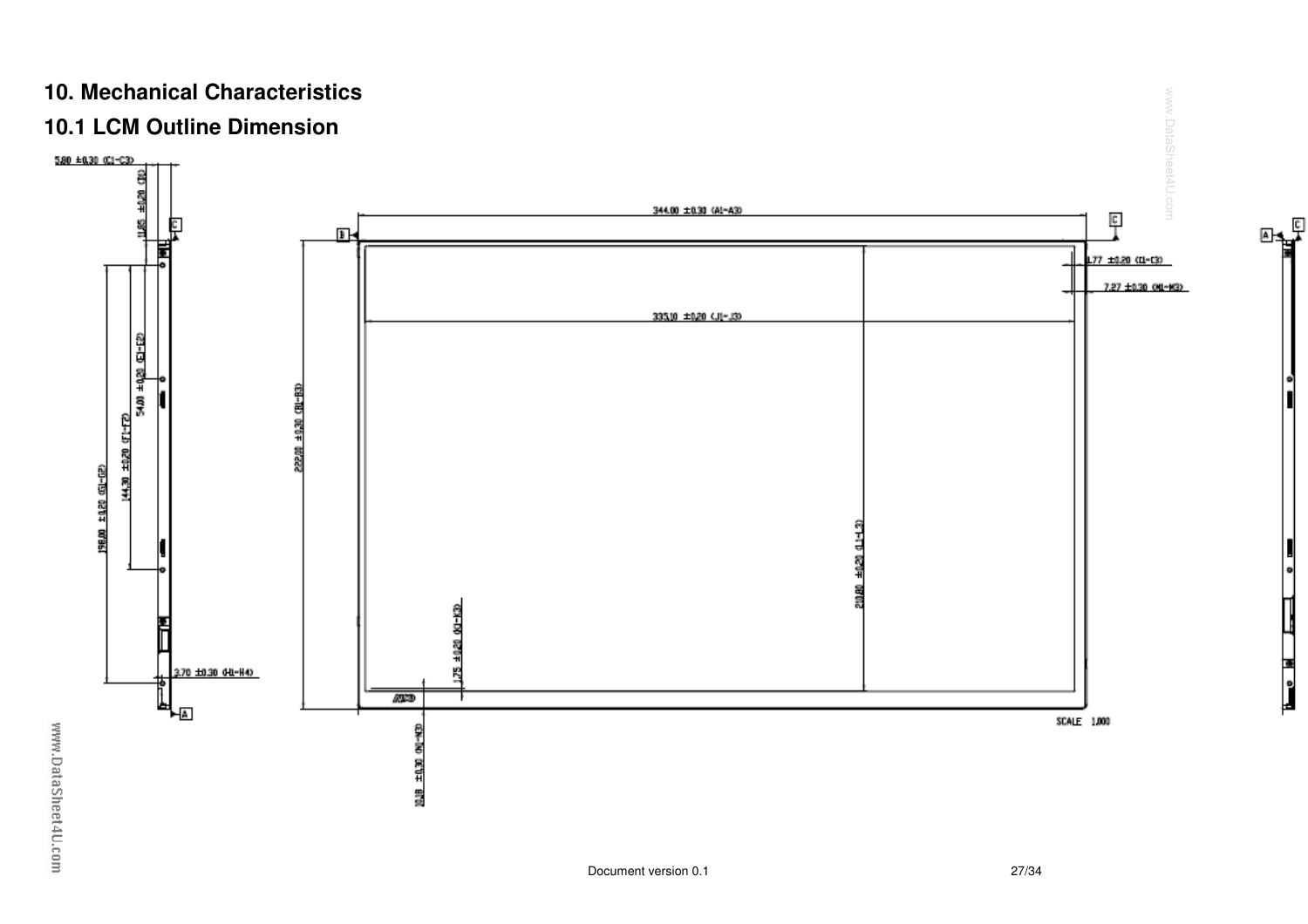### **10. Mechanical Characteristics**

### **10.1 LCM Outline Dimension**



www.DataSheet4U.com

n<br>Le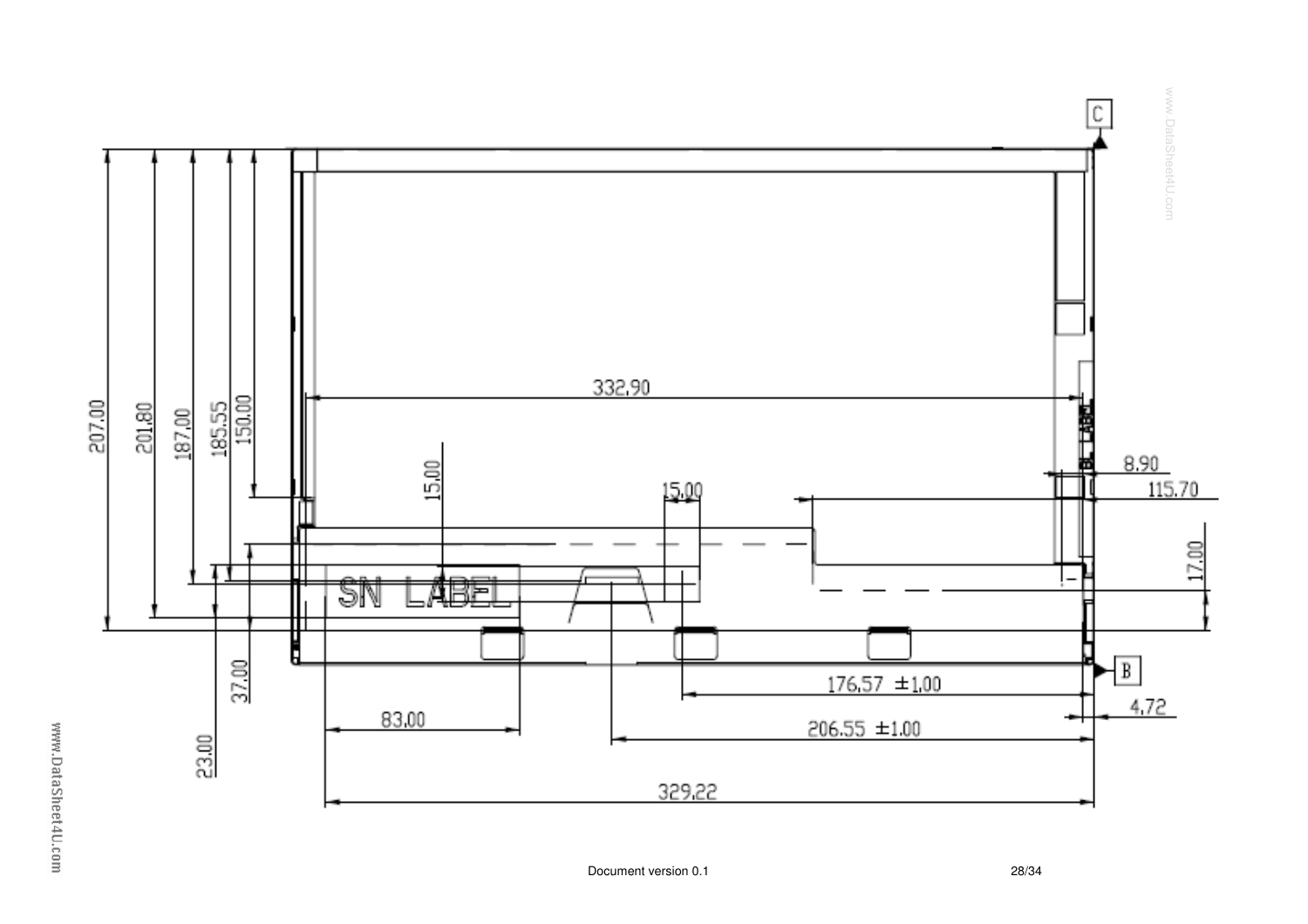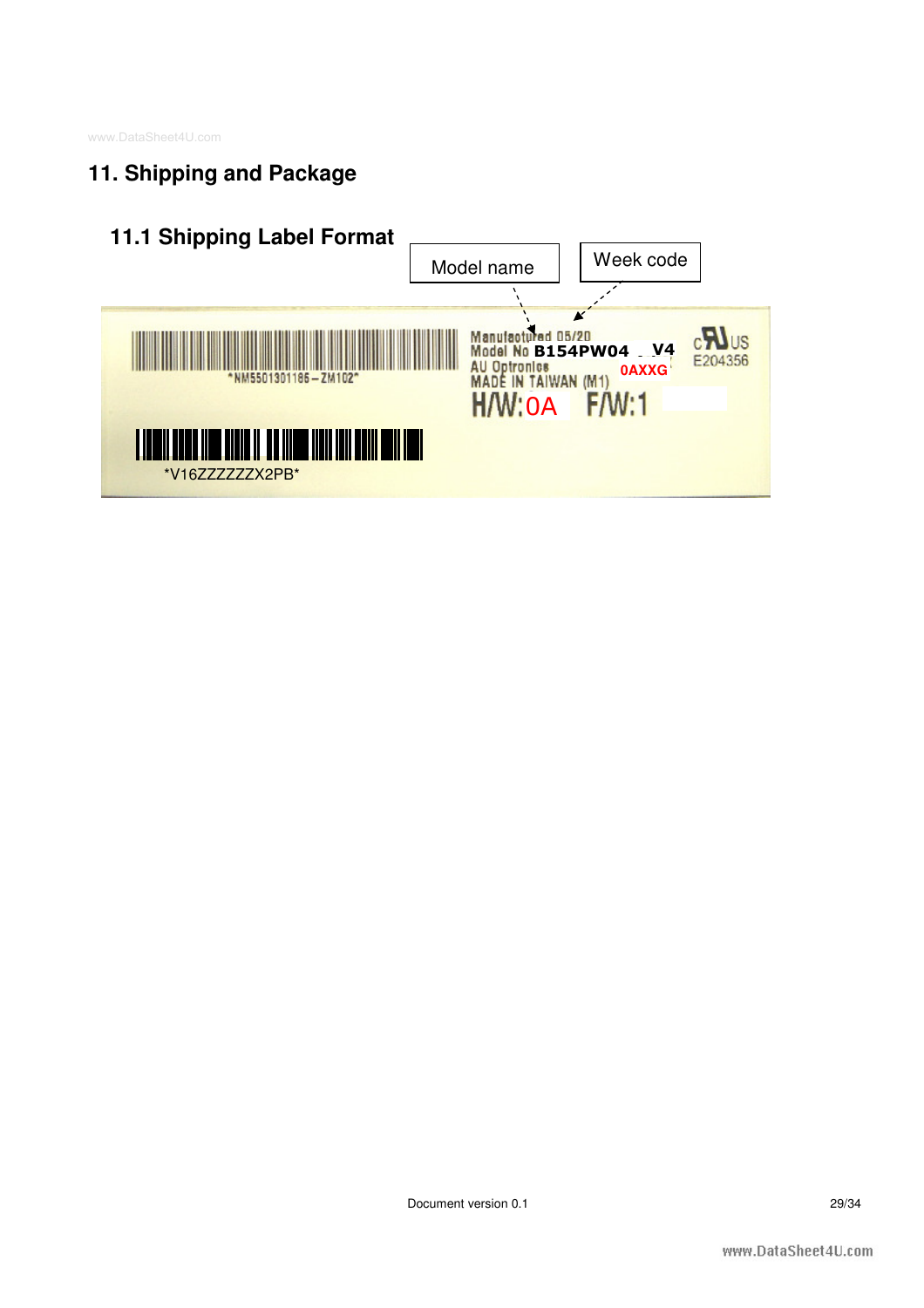### **11. Shipping and Package**

### **11.1 Shipping Label Format**

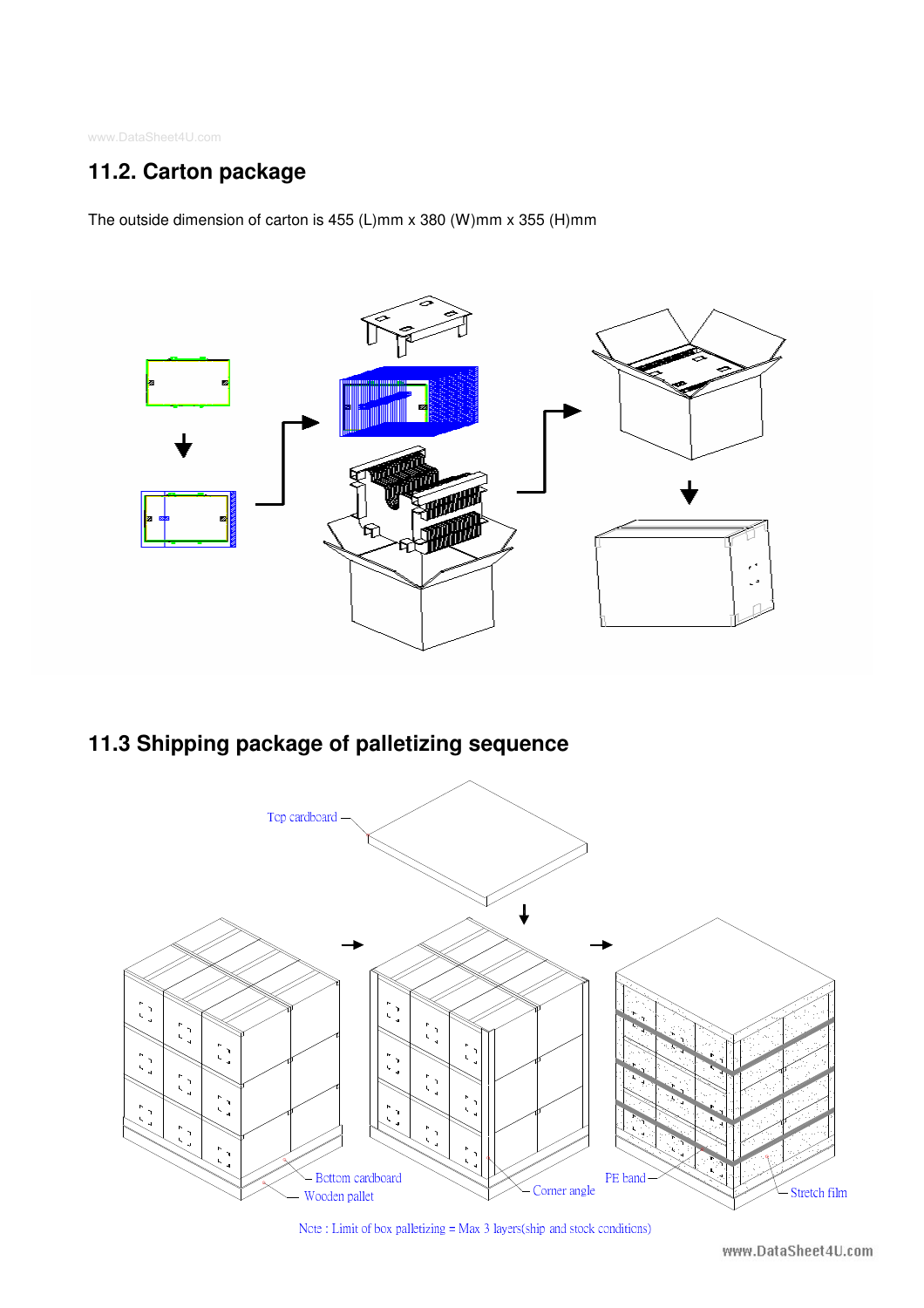### **11.2. Carton package**

The outside dimension of carton is 455 (L)mm x 380 (W)mm x 355 (H)mm



### **11.3 Shipping package of palletizing sequence**



Note: Limit of box palletizing = Max 3 layers(ship and stock conditions)

www.DataSheet4U.com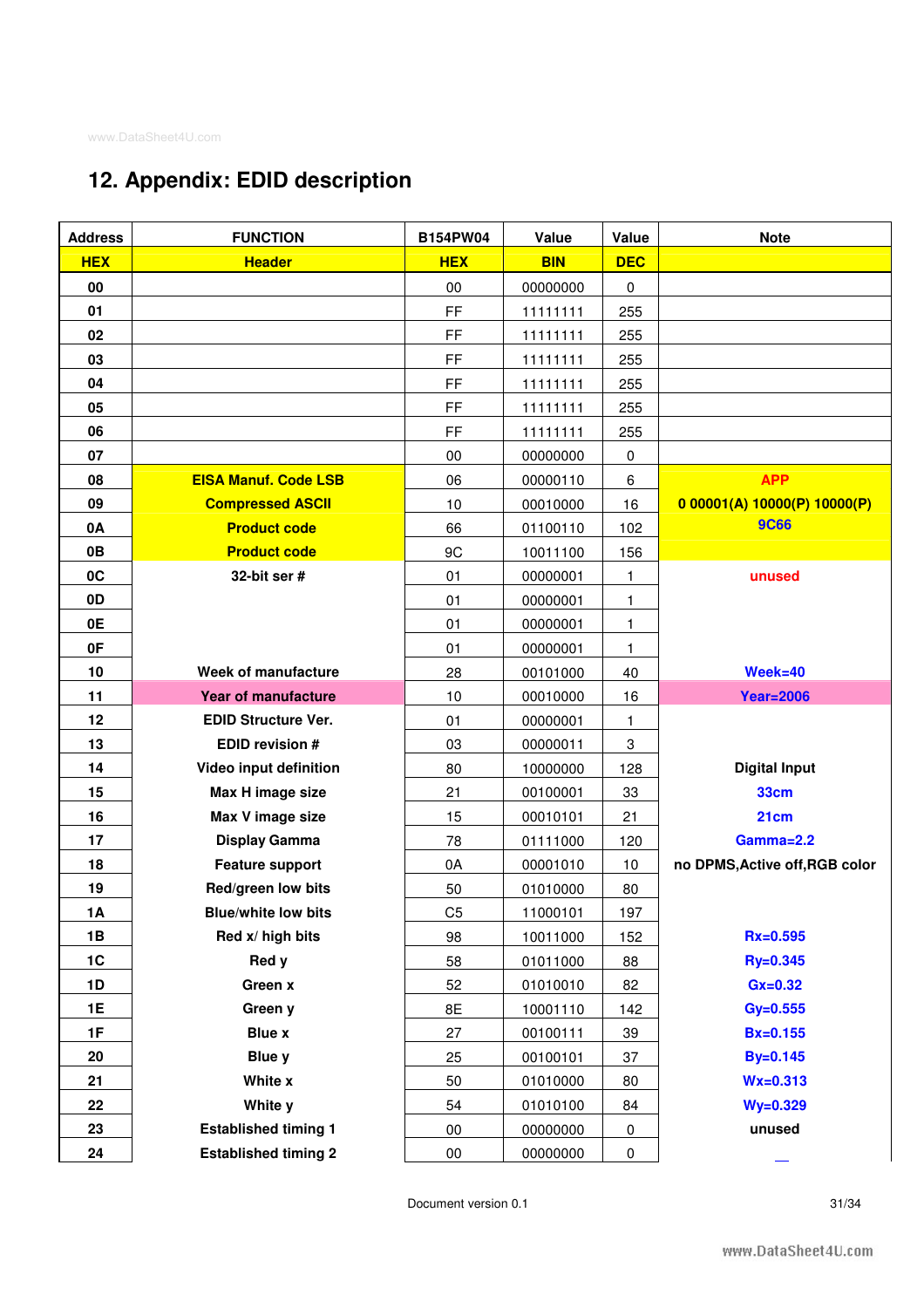### **12. Appendix: EDID description**

| <b>Address</b> | <b>FUNCTION</b>             | <b>B154PW04</b> | Value      | Value        | <b>Note</b>                    |
|----------------|-----------------------------|-----------------|------------|--------------|--------------------------------|
| <b>HEX</b>     | <b>Header</b>               | <b>HEX</b>      | <b>BIN</b> | <b>DEC</b>   |                                |
| 00             |                             | 00              | 00000000   | 0            |                                |
| 01             |                             | FF              | 11111111   | 255          |                                |
| 02             |                             | FF              | 11111111   | 255          |                                |
| 03             |                             | FF              | 11111111   | 255          |                                |
| 04             |                             | FF              | 11111111   | 255          |                                |
| 05             |                             | FF              | 11111111   | 255          |                                |
| 06             |                             | FF              | 11111111   | 255          |                                |
| 07             |                             | 00              | 00000000   | 0            |                                |
| 08             | <b>EISA Manuf. Code LSB</b> | 06              | 00000110   | 6            | <b>APP</b>                     |
| 09             | <b>Compressed ASCII</b>     | 10              | 00010000   | 16           | 0.00001(A) 10000(P) 10000(P)   |
| 0A             | <b>Product code</b>         | 66              | 01100110   | 102          | <b>9C66</b>                    |
| 0B             | <b>Product code</b>         | 9C              | 10011100   | 156          |                                |
| 0C             | 32-bit ser $#$              | 01              | 00000001   | 1            | unused                         |
| 0D             |                             | 01              | 00000001   | 1            |                                |
| 0E             |                             | 01              | 00000001   | 1            |                                |
| 0F             |                             | 01              | 00000001   | $\mathbf{1}$ |                                |
| 10             | Week of manufacture         | 28              | 00101000   | 40           | $Week = 40$                    |
| 11             | <b>Year of manufacture</b>  | 10              | 00010000   | 16           | <b>Year=2006</b>               |
| 12             | <b>EDID Structure Ver.</b>  | 01              | 00000001   | $\mathbf{1}$ |                                |
| 13             | <b>EDID revision #</b>      | 03              | 00000011   | 3            |                                |
| 14             | Video input definition      | 80              | 10000000   | 128          | <b>Digital Input</b>           |
| 15             | Max H image size            | 21              | 00100001   | 33           | <b>33cm</b>                    |
| 16             | Max V image size            | 15              | 00010101   | 21           | 21 <sub>cm</sub>               |
| 17             | <b>Display Gamma</b>        | 78              | 01111000   | 120          | Gamma=2.2                      |
| 18             | <b>Feature support</b>      | 0A              | 00001010   | 10           | no DPMS, Active off, RGB color |
| 19             | Red/green low bits          | 50              | 01010000   | 80           |                                |
| 1A             | <b>Blue/white low bits</b>  | C <sub>5</sub>  | 11000101   | 197          |                                |
| 1B             | Red x/ high bits            | 98              | 10011000   | 152          | $Rx = 0.595$                   |
| 1C             | Red y                       | 58              | 01011000   | 88           | Ry=0.345                       |
| 1D             | Green x                     | 52              | 01010010   | 82           | $Gx=0.32$                      |
| <b>1E</b>      | Green y                     | 8E              | 10001110   | 142          | $Gy=0.555$                     |
| 1F             | <b>Blue x</b>               | 27              | 00100111   | 39           | $Bx = 0.155$                   |
| 20             | <b>Blue y</b>               | 25              | 00100101   | 37           | <b>By=0.145</b>                |
| 21             | White x                     | 50              | 01010000   | 80           | $Wx = 0.313$                   |
| 22             | White y                     | 54              | 01010100   | 84           | $Wy=0.329$                     |
| 23             | <b>Established timing 1</b> | $00\,$          | 00000000   | $\pmb{0}$    | unused                         |
| 24             | <b>Established timing 2</b> | $00\,$          | 00000000   | 0            |                                |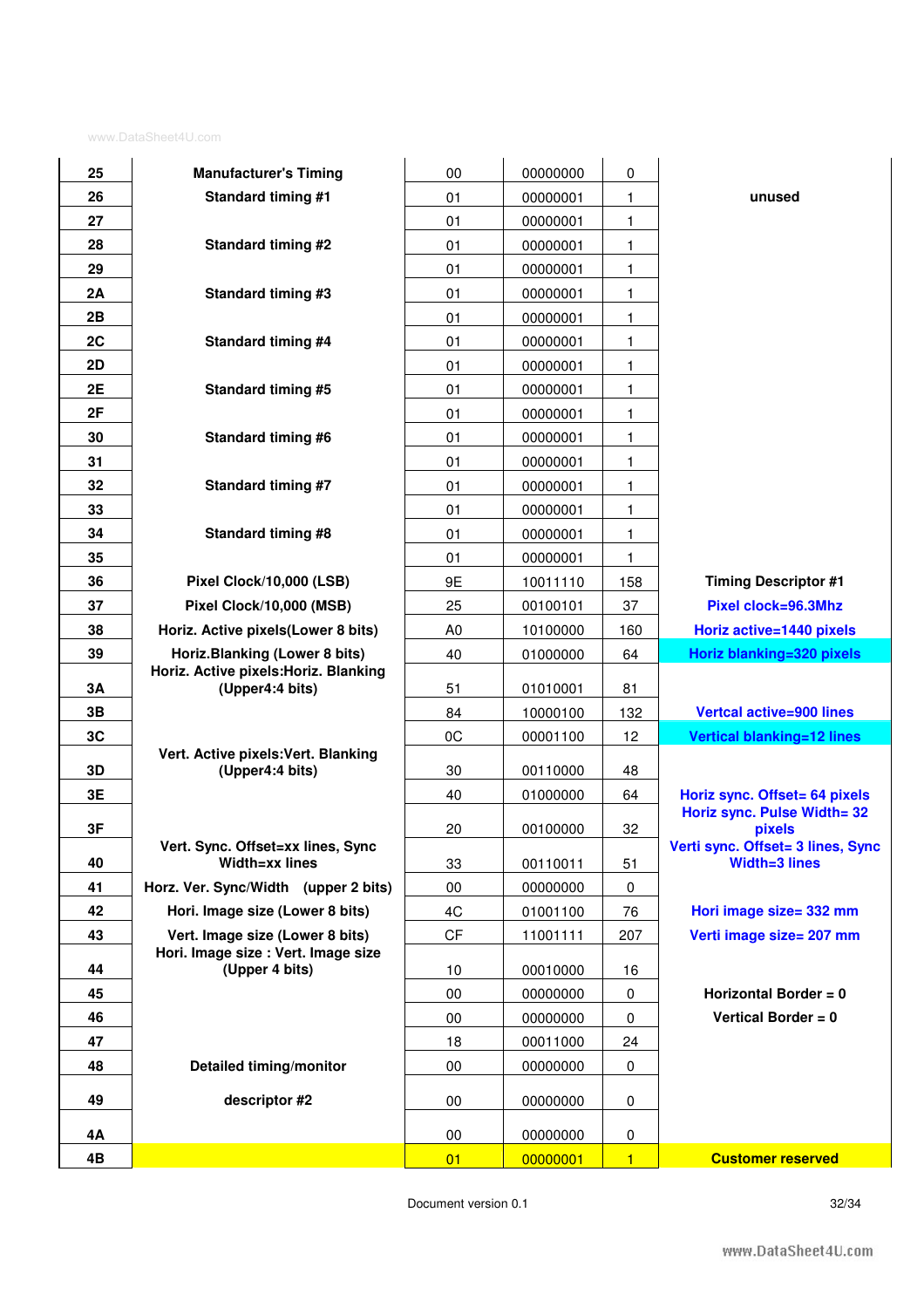| 25<br>26 |
|----------|
| 27       |
|          |
| 28       |
| 29       |
| 2Α       |
| 2Β       |
| 2C       |
| 2D       |
| 2Е       |
| 2F       |
| 30       |
| 31       |
| 32       |
| 33       |
| 34       |
| 35       |
| 36       |
| 37       |
| 38       |
| 39       |
| 3Α       |
| 3Β       |
| 3C       |
| 3D       |
| 3Е       |
| 3F       |
|          |
| 40       |
| 41       |
| 42       |
| 43       |
| 44       |
| 45       |
|          |
| 46       |
| 47       |
| 48       |
| 49       |
|          |
| 4Α<br>4Β |

| 4Β              |                                                          | 01             | 00000001             | $\blacksquare$ | <b>Customer reserved</b>                                  |
|-----------------|----------------------------------------------------------|----------------|----------------------|----------------|-----------------------------------------------------------|
| 4Α              |                                                          | 00             | 00000000             | 0              |                                                           |
| 49              | descriptor #2                                            | 00             | 00000000             | 0              |                                                           |
|                 |                                                          |                |                      |                |                                                           |
| 48              | <b>Detailed timing/monitor</b>                           | 00             | 00000000             | 0              |                                                           |
| 47              |                                                          | 18             | 00011000             | 24             |                                                           |
| <u>45</u><br>46 |                                                          | 00<br>00       | 00000000<br>00000000 | 0<br>0         | Vertical Border = $0$                                     |
| 44              | (Upper 4 bits)                                           | 10             | 00010000             | 16             | Horizontal Border = $0$                                   |
|                 | Hori. Image size : Vert. Image size                      |                |                      |                |                                                           |
| 43              | Vert. Image size (Lower 8 bits)                          | <b>CF</b>      | 11001111             | 207            | Verti image size= 207 mm                                  |
| 42              | Hori. Image size (Lower 8 bits)                          | 4C             | 01001100             | 76             | Hori image size= 332 mm                                   |
| 41              | Horz. Ver. Sync/Width (upper 2 bits)                     | 00             | 00000000             | 0              |                                                           |
| 40              | Vert. Sync. Offset=xx lines, Sync<br>Width=xx lines      | 33             | 00110011             | 51             | Verti sync. Offset= 3 lines, Sync<br><b>Width=3 lines</b> |
| 3F              |                                                          | 20             | 00100000             | 32             | Horiz sync. Pulse Width= 32<br>pixels                     |
| 3Е              |                                                          | 40             | 01000000             | 64             | Horiz sync. Offset= 64 pixels                             |
| 3D              | Vert. Active pixels: Vert. Blanking<br>(Upper4:4 bits)   | 30             | 00110000             | 48             |                                                           |
| 3C              |                                                          | 0C             | 00001100             | 12             | <b>Vertical blanking=12 lines</b>                         |
| 3В              |                                                          | 84             | 10000100             | 132            | <b>Vertcal active=900 lines</b>                           |
| 3Α              | Horiz. Active pixels: Horiz. Blanking<br>(Upper4:4 bits) | 51             | 01010001             | 81             |                                                           |
| 39              | Horiz.Blanking (Lower 8 bits)                            | 40             | 01000000             | 64             | Horiz blanking=320 pixels                                 |
| 38              | Horiz. Active pixels(Lower 8 bits)                       | A <sub>0</sub> | 10100000             | 160            | Horiz active=1440 pixels                                  |
| 37              | Pixel Clock/10,000 (MSB)                                 | 25             | 00100101             | 37             | Pixel clock=96.3Mhz                                       |
| 36              | Pixel Clock/10,000 (LSB)                                 | 9E             | 10011110             | 158            | <b>Timing Descriptor #1</b>                               |
| 35              |                                                          | 01             | 00000001             | 1              |                                                           |
| 34              | Standard timing #8                                       | 01             | 00000001             | $\mathbf 1$    |                                                           |
| 33              |                                                          | 01             | 00000001             | 1.             |                                                           |
| 32              | Standard timing #7                                       | 01             | 00000001             | 1              |                                                           |
| 31              |                                                          | 01             | 00000001             | 1              |                                                           |
| 30              | <b>Standard timing #6</b>                                | 01             | 00000001             | 1              |                                                           |
| 2F              |                                                          | 01             | 00000001             | 1.             |                                                           |
| 2E              | Standard timing #5                                       | 01             | 00000001             | 1.             |                                                           |
| 2D              |                                                          | 01             | 00000001             | 1              |                                                           |
| <u>2C</u>       | Standard timing #4                                       | 01             | 00000001             | 1              |                                                           |
| 2Β              |                                                          | 01             | 00000001             | 1.             |                                                           |
| 2Α              | <b>Standard timing #3</b>                                | 01             | 00000001             | 1              |                                                           |
| 29              |                                                          | 01             | 00000001             | 1.             |                                                           |
| 28              | Standard timing #2                                       | 01             | 00000001<br>00000001 | 1.             |                                                           |
| 26<br>27        |                                                          | 01<br>01       | 00000001             | 1.<br>1        | unused                                                    |
| 25              | <b>Manufacturer's Timing</b><br>Standard timing #1       | 00             | 00000000             | 0              |                                                           |
|                 |                                                          |                |                      |                |                                                           |

Document version 0.1 32/34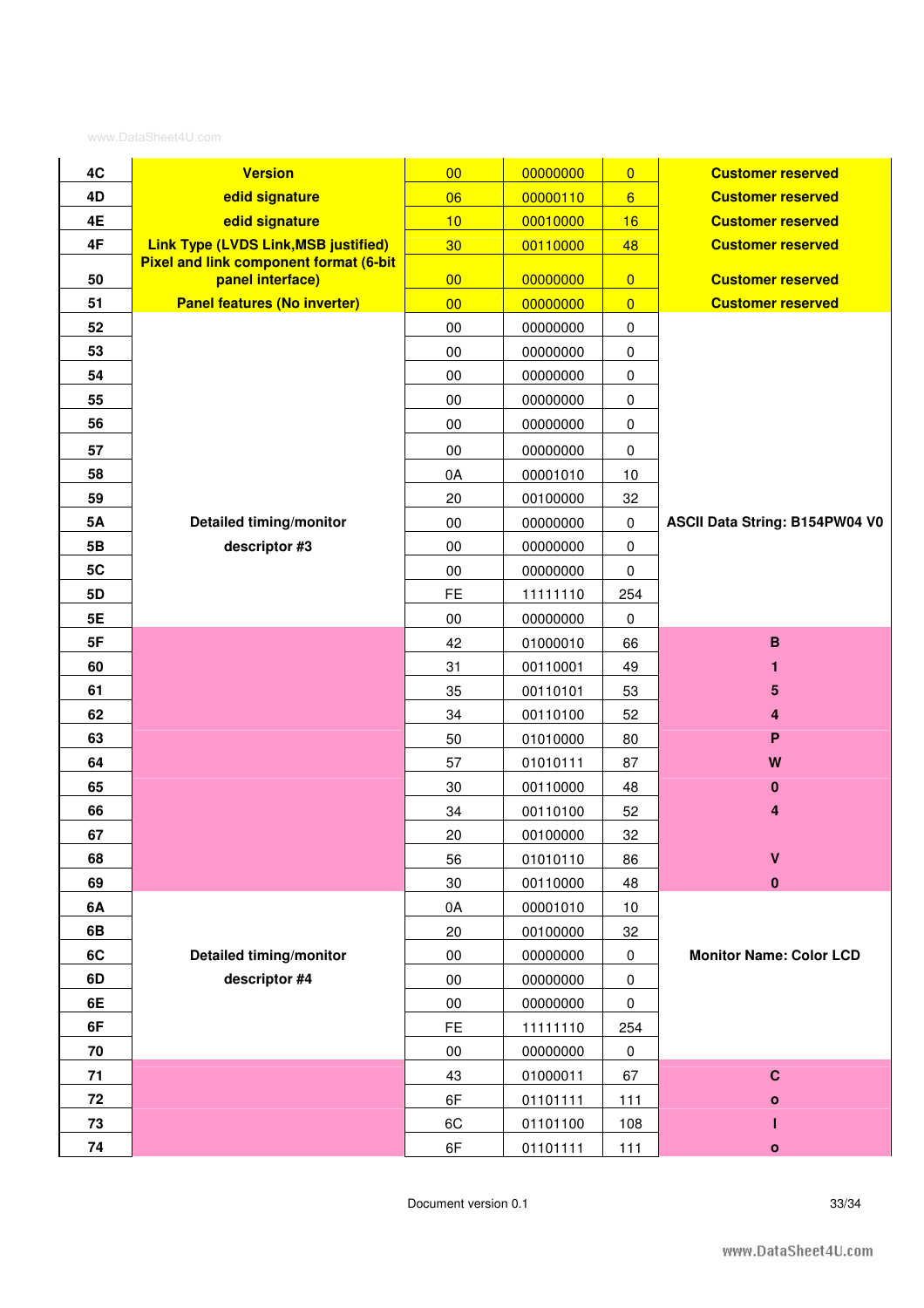| 4C        | <b>Version</b>                                                    | 00              | 00000000 | $\overline{0}$  | <b>Customer reserved</b>       |
|-----------|-------------------------------------------------------------------|-----------------|----------|-----------------|--------------------------------|
| 4D        | edid signature                                                    | 06              | 00000110 | $6 \overline{}$ | <b>Customer reserved</b>       |
| 4E        | edid signature                                                    | 10              | 00010000 | 16              | <b>Customer reserved</b>       |
| 4F        | <b>Link Type (LVDS Link, MSB justified)</b>                       | 30 <sub>o</sub> | 00110000 | 48              | <b>Customer reserved</b>       |
| 50        | <b>Pixel and link component format (6-bit</b><br>panel interface) | 00              | 00000000 | $\overline{0}$  | <b>Customer reserved</b>       |
| 51        | <b>Panel features (No inverter)</b>                               | 00              | 00000000 | $\overline{0}$  | <b>Customer reserved</b>       |
| 52        |                                                                   | $00\,$          | 00000000 | $\pmb{0}$       |                                |
| 53        |                                                                   | 00              | 00000000 | $\pmb{0}$       |                                |
| 54        |                                                                   | $00\,$          | 00000000 | $\pmb{0}$       |                                |
| 55        |                                                                   | 00              | 00000000 | $\pmb{0}$       |                                |
| 56        |                                                                   | $00\,$          | 00000000 | 0               |                                |
| 57        |                                                                   | 00              | 00000000 | $\pmb{0}$       |                                |
| 58        |                                                                   | 0A              | 00001010 | 10              |                                |
| 59        |                                                                   | 20              | 00100000 | 32              |                                |
| <b>5A</b> | Detailed timing/monitor                                           | $00\,$          | 00000000 | $\pmb{0}$       | ASCII Data String: B154PW04 V0 |
| 5B        | descriptor #3                                                     | 00              | 00000000 | $\pmb{0}$       |                                |
| 5C        |                                                                   | $00\,$          | 00000000 | $\pmb{0}$       |                                |
| 5D        |                                                                   | <b>FE</b>       | 11111110 | 254             |                                |
| 5E        |                                                                   | $00\,$          | 00000000 | 0               |                                |
| 5F        |                                                                   | 42              | 01000010 | 66              | $\, {\bf B}$                   |
| 60        |                                                                   | 31              | 00110001 | 49              | 1                              |
| 61        |                                                                   | 35              | 00110101 | 53              | 5                              |
| 62        |                                                                   | 34              | 00110100 | 52              | 4                              |
| 63        |                                                                   | 50              | 01010000 | 80              | P                              |
| 64        |                                                                   | 57              | 01010111 | 87              | W                              |
| 65        |                                                                   | 30              | 00110000 | 48              | 0                              |
| 66        |                                                                   | 34              | 00110100 | 52              | 4                              |
| 67        |                                                                   | 20              | 00100000 | 32              |                                |
| 68        |                                                                   | 56              | 01010110 | 86              | V                              |
| 69        |                                                                   | 30              | 00110000 | 48              | 0                              |
| 6A        |                                                                   | 0A              | 00001010 | 10              |                                |
| 6B        |                                                                   | 20              | 00100000 | 32              |                                |
| 6C        | Detailed timing/monitor                                           | $00\,$          | 00000000 | $\pmb{0}$       | <b>Monitor Name: Color LCD</b> |
| 6D        | descriptor #4                                                     | $00\,$          | 00000000 | $\pmb{0}$       |                                |
| 6E        |                                                                   | $00\,$          | 00000000 | 0               |                                |
| 6F        |                                                                   | <b>FE</b>       | 11111110 | 254             |                                |
| 70        |                                                                   | 00              | 00000000 | $\pmb{0}$       |                                |
| 71        |                                                                   | 43              | 01000011 | 67              | $\mathbf C$                    |
| 72        |                                                                   | 6F              | 01101111 | 111             | о                              |
| 73        |                                                                   | 6C              | 01101100 | 108             |                                |
| 74        |                                                                   | 6F              | 01101111 | 111             | $\mathbf{o}$                   |